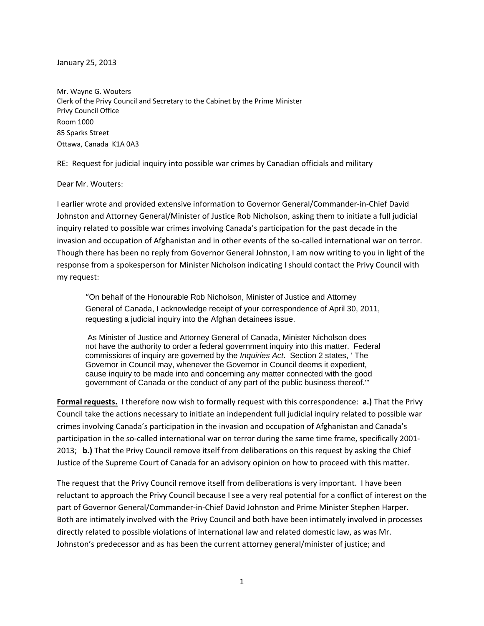January 25, 2013

Mr. Wayne G. Wouters Clerk of the Privy Council and Secretary to the Cabinet by the Prime Minister Privy Council Office Room 1000 85 Sparks Street Ottawa, Canada K1A 0A3

RE: Request for judicial inquiry into possible war crimes by Canadian officials and military

#### Dear Mr. Wouters:

I earlier wrote and provided extensive information to Governor General/Commander‐in‐Chief David Johnston and Attorney General/Minister of Justice Rob Nicholson, asking them to initiate a full judicial inquiry related to possible war crimes involving Canada's participation for the past decade in the invasion and occupation of Afghanistan and in other events of the so-called international war on terror. Though there has been no reply from Governor General Johnston, I am now writing to you in light of the response from a spokesperson for Minister Nicholson indicating I should contact the Privy Council with my request:

"On behalf of the Honourable Rob Nicholson, Minister of Justice and Attorney General of Canada, I acknowledge receipt of your correspondence of April 30, 2011, requesting a judicial inquiry into the Afghan detainees issue.

 As Minister of Justice and Attorney General of Canada, Minister Nicholson does not have the authority to order a federal government inquiry into this matter. Federal commissions of inquiry are governed by the *Inquiries Act*. Section 2 states, ' The Governor in Council may, whenever the Governor in Council deems it expedient, cause inquiry to be made into and concerning any matter connected with the good government of Canada or the conduct of any part of the public business thereof.'"

**Formal requests.** I therefore now wish to formally request with this correspondence: **a.)** That the Privy Council take the actions necessary to initiate an independent full judicial inquiry related to possible war crimes involving Canada's participation in the invasion and occupation of Afghanistan and Canada's participation in the so-called international war on terror during the same time frame, specifically 2001-2013; **b.)** That the Privy Council remove itself from deliberations on this request by asking the Chief Justice of the Supreme Court of Canada for an advisory opinion on how to proceed with this matter.

The request that the Privy Council remove itself from deliberations is very important. I have been reluctant to approach the Privy Council because I see a very real potential for a conflict of interest on the part of Governor General/Commander‐in‐Chief David Johnston and Prime Minister Stephen Harper. Both are intimately involved with the Privy Council and both have been intimately involved in processes directly related to possible violations of international law and related domestic law, as was Mr. Johnston's predecessor and as has been the current attorney general/minister of justice; and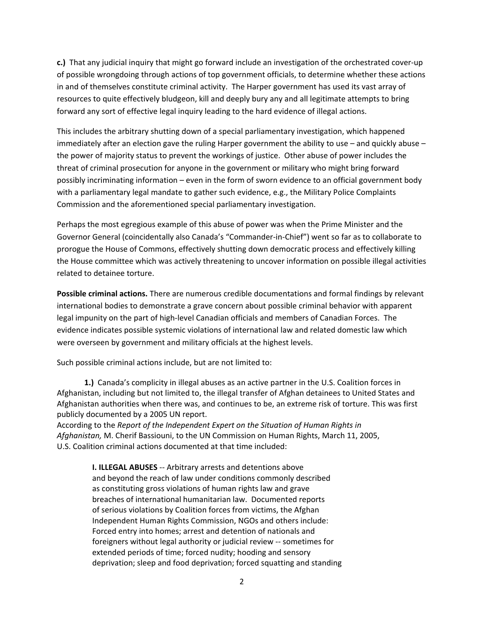**c.)** That any judicial inquiry that might go forward include an investigation of the orchestrated cover‐up of possible wrongdoing through actions of top government officials, to determine whether these actions in and of themselves constitute criminal activity. The Harper government has used its vast array of resources to quite effectively bludgeon, kill and deeply bury any and all legitimate attempts to bring forward any sort of effective legal inquiry leading to the hard evidence of illegal actions.

This includes the arbitrary shutting down of a special parliamentary investigation, which happened immediately after an election gave the ruling Harper government the ability to use – and quickly abuse – the power of majority status to prevent the workings of justice. Other abuse of power includes the threat of criminal prosecution for anyone in the government or military who might bring forward possibly incriminating information – even in the form of sworn evidence to an official government body with a parliamentary legal mandate to gather such evidence, e.g., the Military Police Complaints Commission and the aforementioned special parliamentary investigation.

Perhaps the most egregious example of this abuse of power was when the Prime Minister and the Governor General (coincidentally also Canada's "Commander‐in‐Chief") went so far as to collaborate to prorogue the House of Commons, effectively shutting down democratic process and effectively killing the House committee which was actively threatening to uncover information on possible illegal activities related to detainee torture.

**Possible criminal actions.** There are numerous credible documentations and formal findings by relevant international bodies to demonstrate a grave concern about possible criminal behavior with apparent legal impunity on the part of high‐level Canadian officials and members of Canadian Forces. The evidence indicates possible systemic violations of international law and related domestic law which were overseen by government and military officials at the highest levels.

Such possible criminal actions include, but are not limited to:

 **1.)** Canada's complicity in illegal abuses as an active partner in the U.S. Coalition forces in Afghanistan, including but not limited to, the illegal transfer of Afghan detainees to United States and Afghanistan authorities when there was, and continues to be, an extreme risk of torture. This was first publicly documented by a 2005 UN report.

According to the *Report of the Independent Expert on the Situation of Human Rights in Afghanistan,* M. Cherif Bassiouni, to the UN Commission on Human Rights, March 11, 2005, U.S. Coalition criminal actions documented at that time included:

> **I. ILLEGAL ABUSES** ‐‐ Arbitrary arrests and detentions above and beyond the reach of law under conditions commonly described as constituting gross violations of human rights law and grave breaches of international humanitarian law. Documented reports of serious violations by Coalition forces from victims, the Afghan Independent Human Rights Commission, NGOs and others include: Forced entry into homes; arrest and detention of nationals and foreigners without legal authority or judicial review ‐‐ sometimes for extended periods of time; forced nudity; hooding and sensory deprivation; sleep and food deprivation; forced squatting and standing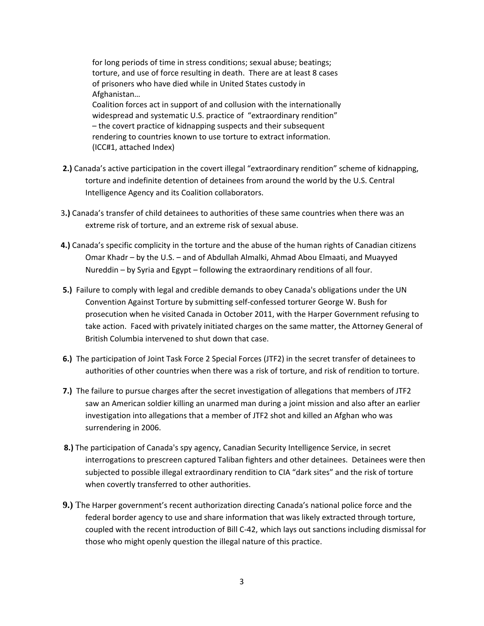for long periods of time in stress conditions; sexual abuse; beatings; torture, and use of force resulting in death. There are at least 8 cases of prisoners who have died while in United States custody in Afghanistan…

 Coalition forces act in support of and collusion with the internationally widespread and systematic U.S. practice of "extraordinary rendition" – the covert practice of kidnapping suspects and their subsequent rendering to countries known to use torture to extract information. (ICC#1, attached Index)

- **2.)** Canada's active participation in the covert illegal "extraordinary rendition" scheme of kidnapping, torture and indefinite detention of detainees from around the world by the U.S. Central Intelligence Agency and its Coalition collaborators.
- 3**.)** Canada's transfer of child detainees to authorities of these same countries when there was an extreme risk of torture, and an extreme risk of sexual abuse.
- **4.)** Canada's specific complicity in the torture and the abuse of the human rights of Canadian citizens Omar Khadr – by the U.S. – and of Abdullah Almalki, Ahmad Abou Elmaati, and Muayyed Nureddin – by Syria and Egypt – following the extraordinary renditions of all four.
- **5.)** Failure to comply with legal and credible demands to obey Canada's obligations under the UN Convention Against Torture by submitting self‐confessed torturer George W. Bush for prosecution when he visited Canada in October 2011, with the Harper Government refusing to take action. Faced with privately initiated charges on the same matter, the Attorney General of British Columbia intervened to shut down that case.
- **6.)** The participation of Joint Task Force 2 Special Forces (JTF2) in the secret transfer of detainees to authorities of other countries when there was a risk of torture, and risk of rendition to torture.
- **7.**) The failure to pursue charges after the secret investigation of allegations that members of JTF2 saw an American soldier killing an unarmed man during a joint mission and also after an earlier investigation into allegations that a member of JTF2 shot and killed an Afghan who was surrendering in 2006.
- **8.)** The participation of Canada's spy agency, Canadian Security Intelligence Service, in secret interrogations to prescreen captured Taliban fighters and other detainees. Detainees were then subjected to possible illegal extraordinary rendition to CIA "dark sites" and the risk of torture when covertly transferred to other authorities.
- **9.)** The Harper government's recent authorization directing Canada's national police force and the federal border agency to use and share information that was likely extracted through torture, coupled with the recent introduction of Bill C‐42, which lays out sanctions including dismissal for those who might openly question the illegal nature of this practice.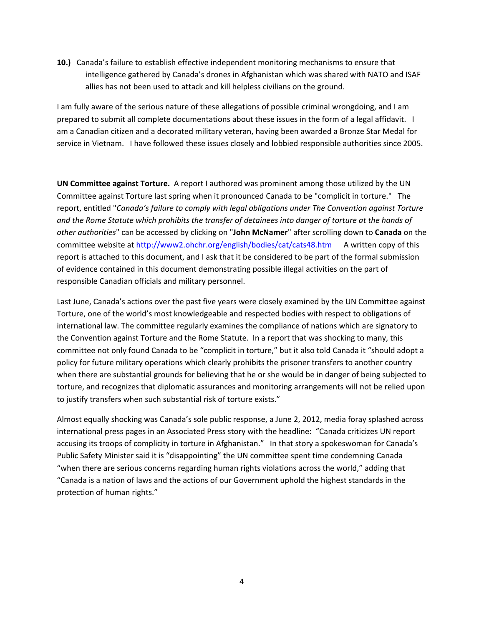**10.)** Canada's failure to establish effective independent monitoring mechanisms to ensure that intelligence gathered by Canada's drones in Afghanistan which was shared with NATO and ISAF allies has not been used to attack and kill helpless civilians on the ground.

I am fully aware of the serious nature of these allegations of possible criminal wrongdoing, and I am prepared to submit all complete documentations about these issues in the form of a legal affidavit. I am a Canadian citizen and a decorated military veteran, having been awarded a Bronze Star Medal for service in Vietnam. I have followed these issues closely and lobbied responsible authorities since 2005.

**UN Committee against Torture.** A report I authored was prominent among those utilized by the UN Committee against Torture last spring when it pronounced Canada to be "complicit in torture." The report, entitled "*Canada's failure to comply with legal obligations under The Convention against Torture* and the Rome Statute which prohibits the transfer of detainees into danger of torture at the hands of *other authorities*" can be accessed by clicking on "**John McNamer**" after scrolling down to **Canada** on the committee website at <http://www2.ohchr.org/english/bodies/cat/cats48.htm> A written copy of this report is attached to this document, and I ask that it be considered to be part of the formal submission of evidence contained in this document demonstrating possible illegal activities on the part of responsible Canadian officials and military personnel.

Last June, Canada's actions over the past five years were closely examined by the UN Committee against Torture, one of the world's most knowledgeable and respected bodies with respect to obligations of international law. The committee regularly examines the compliance of nations which are signatory to the Convention against Torture and the Rome Statute. In a report that was shocking to many, this committee not only found Canada to be "complicit in torture," but it also told Canada it "should adopt a policy for future military operations which clearly prohibits the prisoner transfers to another country when there are substantial grounds for believing that he or she would be in danger of being subjected to torture, and recognizes that diplomatic assurances and monitoring arrangements will not be relied upon to justify transfers when such substantial risk of torture exists."

Almost equally shocking was Canada's sole public response, a June 2, 2012, media foray splashed across international press pages in an Associated Press story with the headline: "Canada criticizes UN report accusing its troops of complicity in torture in Afghanistan." In that story a spokeswoman for Canada's Public Safety Minister said it is "disappointing" the UN committee spent time condemning Canada "when there are serious concerns regarding human rights violations across the world," adding that "Canada is a nation of laws and the actions of our Government uphold the highest standards in the protection of human rights."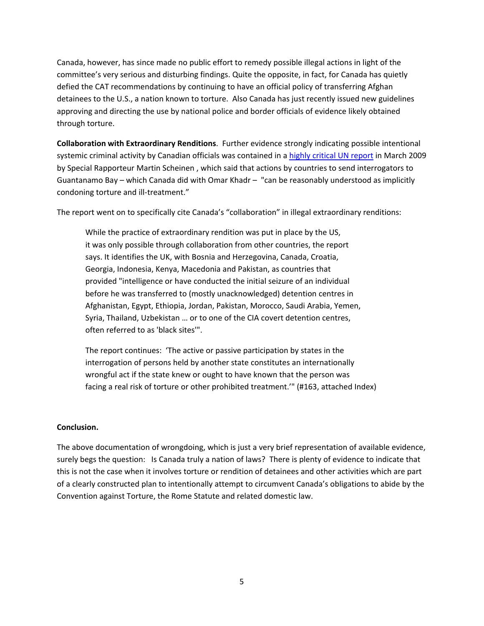Canada, however, has since made no public effort to remedy possible illegal actions in light of the committee's very serious and disturbing findings. Quite the opposite, in fact, for Canada has quietly defied the CAT recommendations by continuing to have an official policy of transferring Afghan detainees to the U.S., a nation known to torture. Also Canada has just recently issued new guidelines approving and directing the use by national police and border officials of evidence likely obtained through torture.

**Collaboration with Extraordinary Renditions**. Further evidence strongly indicating possible intentional systemic criminal activity by Canadian officials was contained in a highly [critical](http://image.guardian.co.uk/sys-files/Guardian/documents/2009/03/09/ahrc.pdf) UN report in March 2009 by Special Rapporteur Martin Scheinen , which said that actions by countries to send interrogators to Guantanamo Bay – which Canada did with Omar Khadr – "can be reasonably understood as implicitly condoning torture and ill‐treatment."

The report went on to specifically cite Canada's "collaboration" in illegal extraordinary renditions:

While the practice of extraordinary rendition was put in place by the US, it was only possible through collaboration from other countries, the report says. It identifies the UK, with Bosnia and Herzegovina, Canada, Croatia, Georgia, Indonesia, Kenya, Macedonia and Pakistan, as countries that provided "intelligence or have conducted the initial seizure of an individual before he was transferred to (mostly unacknowledged) detention centres in Afghanistan, Egypt, Ethiopia, Jordan, Pakistan, Morocco, Saudi Arabia, Yemen, Syria, Thailand, Uzbekistan … or to one of the CIA covert detention centres, often referred to as 'black sites'".

The report continues: 'The active or passive participation by states in the interrogation of persons held by another state constitutes an internationally wrongful act if the state knew or ought to have known that the person was facing a real risk of torture or other prohibited treatment.'" (#163, attached Index)

#### **Conclusion.**

The above documentation of wrongdoing, which is just a very brief representation of available evidence, surely begs the question: Is Canada truly a nation of laws? There is plenty of evidence to indicate that this is not the case when it involves torture or rendition of detainees and other activities which are part of a clearly constructed plan to intentionally attempt to circumvent Canada's obligations to abide by the Convention against Torture, the Rome Statute and related domestic law.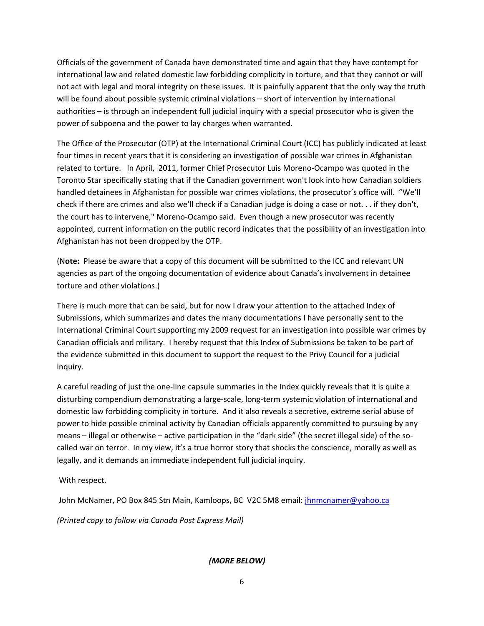Officials of the government of Canada have demonstrated time and again that they have contempt for international law and related domestic law forbidding complicity in torture, and that they cannot or will not act with legal and moral integrity on these issues. It is painfully apparent that the only way the truth will be found about possible systemic criminal violations – short of intervention by international authorities – is through an independent full judicial inquiry with a special prosecutor who is given the power of subpoena and the power to lay charges when warranted.

The Office of the Prosecutor (OTP) at the International Criminal Court (ICC) has publicly indicated at least four times in recent years that it is considering an investigation of possible war crimes in Afghanistan related to torture. In April, 2011, former Chief Prosecutor Luis Moreno‐Ocampo was quoted in the Toronto Star specifically stating that if the Canadian government won't look into how Canadian soldiers handled detainees in Afghanistan for possible war crimes violations, the prosecutor's office will. "We'll check if there are crimes and also we'll check if a Canadian judge is doing a case or not. . . if they don't, the court has to intervene," Moreno‐Ocampo said. Even though a new prosecutor was recently appointed, current information on the public record indicates that the possibility of an investigation into Afghanistan has not been dropped by the OTP.

(Note: Please be aware that a copy of this document will be submitted to the ICC and relevant UN agencies as part of the ongoing documentation of evidence about Canada's involvement in detainee torture and other violations.)

There is much more that can be said, but for now I draw your attention to the attached Index of Submissions, which summarizes and dates the many documentations I have personally sent to the International Criminal Court supporting my 2009 request for an investigation into possible war crimes by Canadian officials and military. I hereby request that this Index of Submissions be taken to be part of the evidence submitted in this document to support the request to the Privy Council for a judicial inquiry.

A careful reading of just the one‐line capsule summaries in the Index quickly reveals that it is quite a disturbing compendium demonstrating a large‐scale, long‐term systemic violation of international and domestic law forbidding complicity in torture. And it also reveals a secretive, extreme serial abuse of power to hide possible criminal activity by Canadian officials apparently committed to pursuing by any means – illegal or otherwise – active participation in the "dark side" (the secret illegal side) of the so‐ called war on terror. In my view, it's a true horror story that shocks the conscience, morally as well as legally, and it demands an immediate independent full judicial inquiry.

With respect,

John McNamer, PO Box 845 Stn Main, Kamloops, BC V2C 5M8 email: [jhnmcnamer@yahoo.ca](mailto:jhnmcnamer@yahoo.ca)

*(Printed copy to follow via Canada Post Express Mail)*

#### *(MORE BELOW)*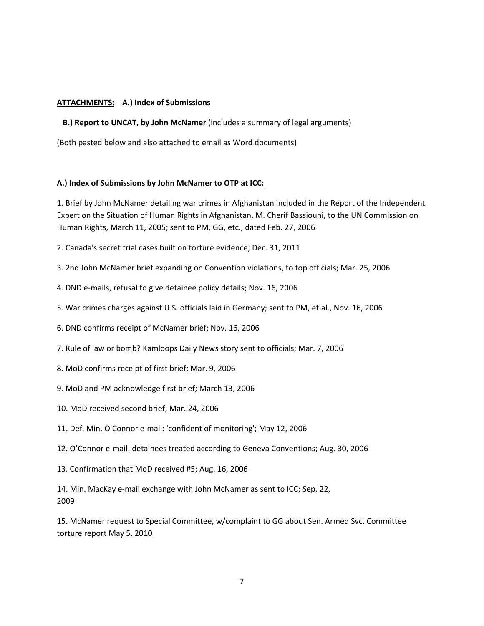#### **ATTACHMENTS: A.) Index of Submissions**

 **B.) Report to UNCAT, by John McNamer** (includes a summary of legal arguments)

(Both pasted below and also attached to email as Word documents)

#### **A.) Index of Submissions by John McNamer to OTP at ICC:**

1. Brief by John McNamer detailing war crimes in Afghanistan included in the Report of the Independent Expert on the Situation of Human Rights in Afghanistan, M. Cherif Bassiouni, to the UN Commission on Human Rights, March 11, 2005; sent to PM, GG, etc., dated Feb. 27, 2006

- 2. Canada's secret trial cases built on torture evidence; Dec. 31, 2011
- 3. 2nd John McNamer brief expanding on Convention violations, to top officials; Mar. 25, 2006
- 4. DND e‐mails, refusal to give detainee policy details; Nov. 16, 2006
- 5. War crimes charges against U.S. officials laid in Germany; sent to PM, et.al., Nov. 16, 2006
- 6. DND confirms receipt of McNamer brief; Nov. 16, 2006
- 7. Rule of law or bomb? Kamloops Daily News story sent to officials; Mar. 7, 2006
- 8. MoD confirms receipt of first brief; Mar. 9, 2006
- 9. MoD and PM acknowledge first brief; March 13, 2006
- 10. MoD received second brief; Mar. 24, 2006
- 11. Def. Min. O'Connor e‐mail: 'confident of monitoring'; May 12, 2006
- 12. O'Connor e‐mail: detainees treated according to Geneva Conventions; Aug. 30, 2006
- 13. Confirmation that MoD received #5; Aug. 16, 2006

14. Min. MacKay e‐mail exchange with John McNamer as sent to ICC; Sep. 22, 2009

15. McNamer request to Special Committee, w/complaint to GG about Sen. Armed Svc. Committee torture report May 5, 2010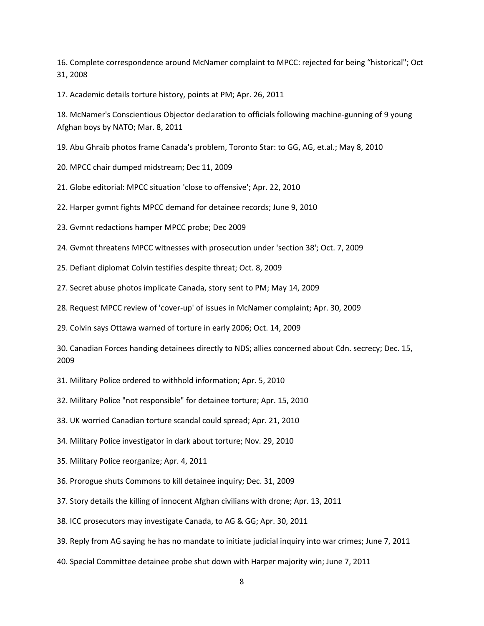16. Complete correspondence around McNamer complaint to MPCC: rejected for being "historical"; Oct 31, 2008

17. Academic details torture history, points at PM; Apr. 26, 2011

18. McNamer's Conscientious Objector declaration to officials following machine‐gunning of 9 young Afghan boys by NATO; Mar. 8, 2011

19. Abu Ghraib photos frame Canada's problem, Toronto Star: to GG, AG, et.al.; May 8, 2010

20. MPCC chair dumped midstream; Dec 11, 2009

21. Globe editorial: MPCC situation 'close to offensive'; Apr. 22, 2010

22. Harper gvmnt fights MPCC demand for detainee records; June 9, 2010

23. Gvmnt redactions hamper MPCC probe; Dec 2009

24. Gvmnt threatens MPCC witnesses with prosecution under 'section 38'; Oct. 7, 2009

25. Defiant diplomat Colvin testifies despite threat; Oct. 8, 2009

27. Secret abuse photos implicate Canada, story sent to PM; May 14, 2009

28. Request MPCC review of 'cover‐up' of issues in McNamer complaint; Apr. 30, 2009

29. Colvin says Ottawa warned of torture in early 2006; Oct. 14, 2009

30. Canadian Forces handing detainees directly to NDS; allies concerned about Cdn. secrecy; Dec. 15, 2009

31. Military Police ordered to withhold information; Apr. 5, 2010

32. Military Police "not responsible" for detainee torture; Apr. 15, 2010

33. UK worried Canadian torture scandal could spread; Apr. 21, 2010

34. Military Police investigator in dark about torture; Nov. 29, 2010

35. Military Police reorganize; Apr. 4, 2011

36. Prorogue shuts Commons to kill detainee inquiry; Dec. 31, 2009

37. Story details the killing of innocent Afghan civilians with drone; Apr. 13, 2011

38. ICC prosecutors may investigate Canada, to AG & GG; Apr. 30, 2011

39. Reply from AG saying he has no mandate to initiate judicial inquiry into war crimes; June 7, 2011

40. Special Committee detainee probe shut down with Harper majority win; June 7, 2011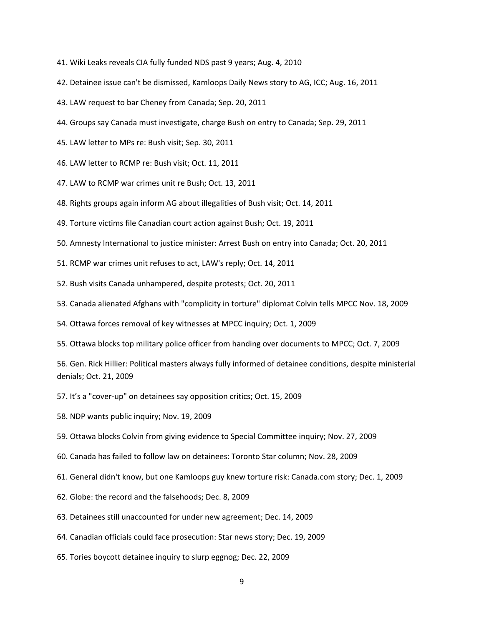- 41. Wiki Leaks reveals CIA fully funded NDS past 9 years; Aug. 4, 2010
- 42. Detainee issue can't be dismissed, Kamloops Daily News story to AG, ICC; Aug. 16, 2011
- 43. LAW request to bar Cheney from Canada; Sep. 20, 2011
- 44. Groups say Canada must investigate, charge Bush on entry to Canada; Sep. 29, 2011
- 45. LAW letter to MPs re: Bush visit; Sep. 30, 2011
- 46. LAW letter to RCMP re: Bush visit; Oct. 11, 2011
- 47. LAW to RCMP war crimes unit re Bush; Oct. 13, 2011
- 48. Rights groups again inform AG about illegalities of Bush visit; Oct. 14, 2011
- 49. Torture victims file Canadian court action against Bush; Oct. 19, 2011
- 50. Amnesty International to justice minister: Arrest Bush on entry into Canada; Oct. 20, 2011
- 51. RCMP war crimes unit refuses to act, LAW's reply; Oct. 14, 2011
- 52. Bush visits Canada unhampered, despite protests; Oct. 20, 2011
- 53. Canada alienated Afghans with "complicity in torture" diplomat Colvin tells MPCC Nov. 18, 2009
- 54. Ottawa forces removal of key witnesses at MPCC inquiry; Oct. 1, 2009
- 55. Ottawa blocks top military police officer from handing over documents to MPCC; Oct. 7, 2009

56. Gen. Rick Hillier: Political masters always fully informed of detainee conditions, despite ministerial denials; Oct. 21, 2009

- 57. It's a "cover‐up" on detainees say opposition critics; Oct. 15, 2009
- 58. NDP wants public inquiry; Nov. 19, 2009
- 59. Ottawa blocks Colvin from giving evidence to Special Committee inquiry; Nov. 27, 2009
- 60. Canada has failed to follow law on detainees: Toronto Star column; Nov. 28, 2009
- 61. General didn't know, but one Kamloops guy knew torture risk: Canada.com story; Dec. 1, 2009
- 62. Globe: the record and the falsehoods; Dec. 8, 2009
- 63. Detainees still unaccounted for under new agreement; Dec. 14, 2009
- 64. Canadian officials could face prosecution: Star news story; Dec. 19, 2009
- 65. Tories boycott detainee inquiry to slurp eggnog; Dec. 22, 2009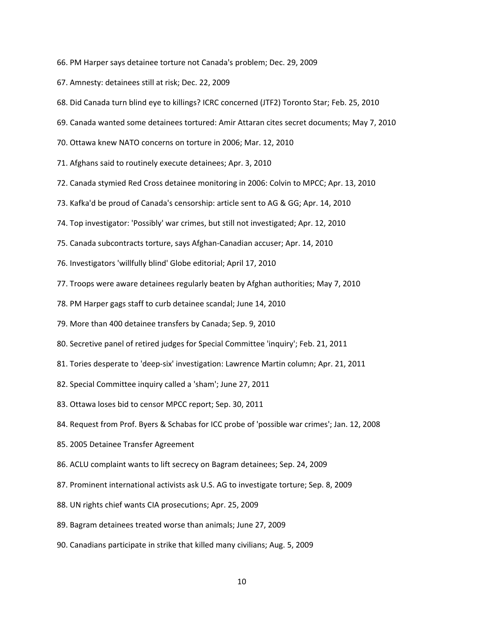- 66. PM Harper says detainee torture not Canada's problem; Dec. 29, 2009
- 67. Amnesty: detainees still at risk; Dec. 22, 2009
- 68. Did Canada turn blind eye to killings? ICRC concerned (JTF2) Toronto Star; Feb. 25, 2010
- 69. Canada wanted some detainees tortured: Amir Attaran cites secret documents; May 7, 2010
- 70. Ottawa knew NATO concerns on torture in 2006; Mar. 12, 2010
- 71. Afghans said to routinely execute detainees; Apr. 3, 2010
- 72. Canada stymied Red Cross detainee monitoring in 2006: Colvin to MPCC; Apr. 13, 2010
- 73. Kafka'd be proud of Canada's censorship: article sent to AG & GG; Apr. 14, 2010
- 74. Top investigator: 'Possibly' war crimes, but still not investigated; Apr. 12, 2010
- 75. Canada subcontracts torture, says Afghan‐Canadian accuser; Apr. 14, 2010
- 76. Investigators 'willfully blind' Globe editorial; April 17, 2010
- 77. Troops were aware detainees regularly beaten by Afghan authorities; May 7, 2010
- 78. PM Harper gags staff to curb detainee scandal; June 14, 2010
- 79. More than 400 detainee transfers by Canada; Sep. 9, 2010
- 80. Secretive panel of retired judges for Special Committee 'inquiry'; Feb. 21, 2011
- 81. Tories desperate to 'deep‐six' investigation: Lawrence Martin column; Apr. 21, 2011
- 82. Special Committee inquiry called a 'sham'; June 27, 2011
- 83. Ottawa loses bid to censor MPCC report; Sep. 30, 2011
- 84. Request from Prof. Byers & Schabas for ICC probe of 'possible war crimes'; Jan. 12, 2008
- 85. 2005 Detainee Transfer Agreement
- 86. ACLU complaint wants to lift secrecy on Bagram detainees; Sep. 24, 2009
- 87. Prominent international activists ask U.S. AG to investigate torture; Sep. 8, 2009
- 88. UN rights chief wants CIA prosecutions; Apr. 25, 2009
- 89. Bagram detainees treated worse than animals; June 27, 2009
- 90. Canadians participate in strike that killed many civilians; Aug. 5, 2009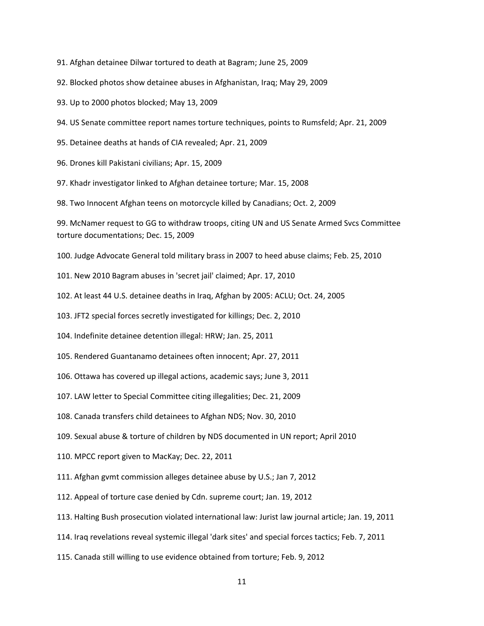91. Afghan detainee Dilwar tortured to death at Bagram; June 25, 2009

92. Blocked photos show detainee abuses in Afghanistan, Iraq; May 29, 2009

93. Up to 2000 photos blocked; May 13, 2009

94. US Senate committee report names torture techniques, points to Rumsfeld; Apr. 21, 2009

95. Detainee deaths at hands of CIA revealed; Apr. 21, 2009

96. Drones kill Pakistani civilians; Apr. 15, 2009

97. Khadr investigator linked to Afghan detainee torture; Mar. 15, 2008

98. Two Innocent Afghan teens on motorcycle killed by Canadians; Oct. 2, 2009

99. McNamer request to GG to withdraw troops, citing UN and US Senate Armed Svcs Committee torture documentations; Dec. 15, 2009

100. Judge Advocate General told military brass in 2007 to heed abuse claims; Feb. 25, 2010

101. New 2010 Bagram abuses in 'secret jail' claimed; Apr. 17, 2010

102. At least 44 U.S. detainee deaths in Iraq, Afghan by 2005: ACLU; Oct. 24, 2005

103. JFT2 special forces secretly investigated for killings; Dec. 2, 2010

104. Indefinite detainee detention illegal: HRW; Jan. 25, 2011

105. Rendered Guantanamo detainees often innocent; Apr. 27, 2011

106. Ottawa has covered up illegal actions, academic says; June 3, 2011

107. LAW letter to Special Committee citing illegalities; Dec. 21, 2009

108. Canada transfers child detainees to Afghan NDS; Nov. 30, 2010

109. Sexual abuse & torture of children by NDS documented in UN report; April 2010

110. MPCC report given to MacKay; Dec. 22, 2011

111. Afghan gvmt commission alleges detainee abuse by U.S.; Jan 7, 2012

112. Appeal of torture case denied by Cdn. supreme court; Jan. 19, 2012

113. Halting Bush prosecution violated international law: Jurist law journal article; Jan. 19, 2011

114. Iraq revelations reveal systemic illegal 'dark sites' and special forces tactics; Feb. 7, 2011

115. Canada still willing to use evidence obtained from torture; Feb. 9, 2012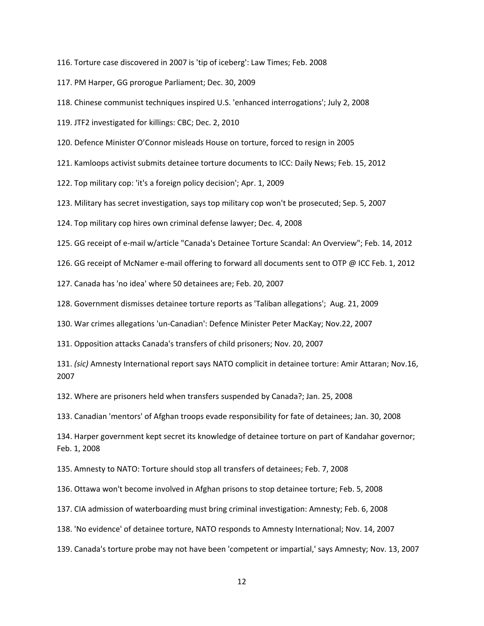116. Torture case discovered in 2007 is 'tip of iceberg': Law Times; Feb. 2008

117. PM Harper, GG prorogue Parliament; Dec. 30, 2009

118. Chinese communist techniques inspired U.S. 'enhanced interrogations'; July 2, 2008

119. JTF2 investigated for killings: CBC; Dec. 2, 2010

120. Defence Minister O'Connor misleads House on torture, forced to resign in 2005

121. Kamloops activist submits detainee torture documents to ICC: Daily News; Feb. 15, 2012

122. Top military cop: 'it's a foreign policy decision'; Apr. 1, 2009

123. Military has secret investigation, says top military cop won't be prosecuted; Sep. 5, 2007

124. Top military cop hires own criminal defense lawyer; Dec. 4, 2008

125. GG receipt of e‐mail w/article "Canada's Detainee Torture Scandal: An Overview"; Feb. 14, 2012

126. GG receipt of McNamer e-mail offering to forward all documents sent to OTP @ ICC Feb. 1, 2012

127. Canada has 'no idea' where 50 detainees are; Feb. 20, 2007

128. Government dismisses detainee torture reports as 'Taliban allegations'; Aug. 21, 2009

130. War crimes allegations 'un‐Canadian': Defence Minister Peter MacKay; Nov.22, 2007

131. Opposition attacks Canada's transfers of child prisoners; Nov. 20, 2007

131. *(sic)* Amnesty International report says NATO complicit in detainee torture: Amir Attaran; Nov.16, 2007

132. Where are prisoners held when transfers suspended by Canada?; Jan. 25, 2008

133. Canadian 'mentors' of Afghan troops evade responsibility for fate of detainees; Jan. 30, 2008

134. Harper government kept secret its knowledge of detainee torture on part of Kandahar governor; Feb. 1, 2008

135. Amnesty to NATO: Torture should stop all transfers of detainees; Feb. 7, 2008

136. Ottawa won't become involved in Afghan prisons to stop detainee torture; Feb. 5, 2008

137. CIA admission of waterboarding must bring criminal investigation: Amnesty; Feb. 6, 2008

138. 'No evidence' of detainee torture, NATO responds to Amnesty International; Nov. 14, 2007

139. Canada's torture probe may not have been 'competent or impartial,' says Amnesty; Nov. 13, 2007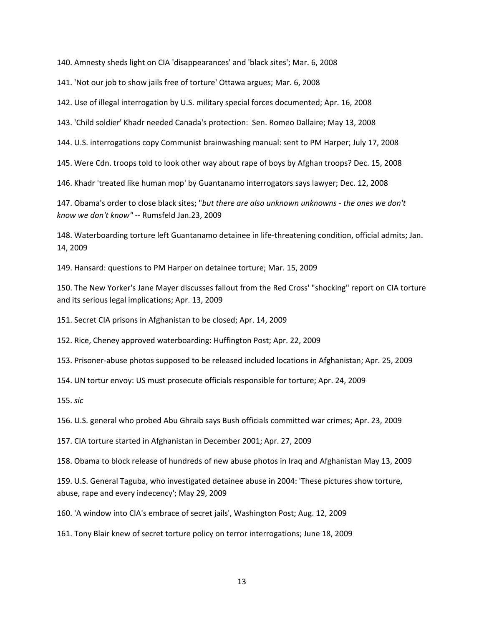140. Amnesty sheds light on CIA 'disappearances' and 'black sites'; Mar. 6, 2008

141. 'Not our job to show jails free of torture' Ottawa argues; Mar. 6, 2008

142. Use of illegal interrogation by U.S. military special forces documented; Apr. 16, 2008

143. 'Child soldier' Khadr needed Canada's protection: Sen. Romeo Dallaire; May 13, 2008

144. U.S. interrogations copy Communist brainwashing manual: sent to PM Harper; July 17, 2008

145. Were Cdn. troops told to look other way about rape of boys by Afghan troops? Dec. 15, 2008

146. Khadr 'treated like human mop' by Guantanamo interrogators says lawyer; Dec. 12, 2008

147. Obama's order to close black sites; "*but there are also unknown unknowns ‐ the ones we don't know we don't know"* ‐‐ Rumsfeld Jan.23, 2009

148. Waterboarding torture left Guantanamo detainee in life‐threatening condition, official admits; Jan. 14, 2009

149. Hansard: questions to PM Harper on detainee torture; Mar. 15, 2009

150. The New Yorker's Jane Mayer discusses fallout from the Red Cross' "shocking" report on CIA torture and its serious legal implications; Apr. 13, 2009

151. Secret CIA prisons in Afghanistan to be closed; Apr. 14, 2009

152. Rice, Cheney approved waterboarding: Huffington Post; Apr. 22, 2009

153. Prisoner‐abuse photos supposed to be released included locations in Afghanistan; Apr. 25, 2009

154. UN tortur envoy: US must prosecute officials responsible for torture; Apr. 24, 2009

155. *sic*

156. U.S. general who probed Abu Ghraib says Bush officials committed war crimes; Apr. 23, 2009

157. CIA torture started in Afghanistan in December 2001; Apr. 27, 2009

158. Obama to block release of hundreds of new abuse photos in Iraq and Afghanistan May 13, 2009

159. U.S. General Taguba, who investigated detainee abuse in 2004: 'These pictures show torture, abuse, rape and every indecency'; May 29, 2009

160. 'A window into CIA's embrace of secret jails', Washington Post; Aug. 12, 2009

161. Tony Blair knew of secret torture policy on terror interrogations; June 18, 2009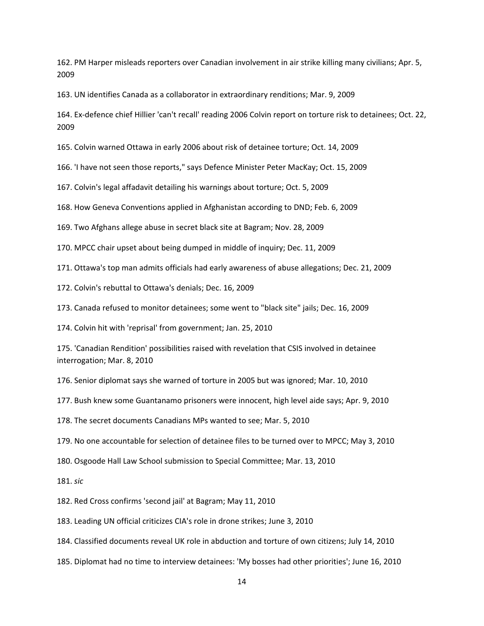162. PM Harper misleads reporters over Canadian involvement in air strike killing many civilians; Apr. 5, 2009

163. UN identifies Canada as a collaborator in extraordinary renditions; Mar. 9, 2009

164. Ex‐defence chief Hillier 'can't recall' reading 2006 Colvin report on torture risk to detainees; Oct. 22, 2009

165. Colvin warned Ottawa in early 2006 about risk of detainee torture; Oct. 14, 2009

166. 'I have not seen those reports," says Defence Minister Peter MacKay; Oct. 15, 2009

167. Colvin's legal affadavit detailing his warnings about torture; Oct. 5, 2009

168. How Geneva Conventions applied in Afghanistan according to DND; Feb. 6, 2009

169. Two Afghans allege abuse in secret black site at Bagram; Nov. 28, 2009

170. MPCC chair upset about being dumped in middle of inquiry; Dec. 11, 2009

171. Ottawa's top man admits officials had early awareness of abuse allegations; Dec. 21, 2009

172. Colvin's rebuttal to Ottawa's denials; Dec. 16, 2009

173. Canada refused to monitor detainees; some went to "black site" jails; Dec. 16, 2009

174. Colvin hit with 'reprisal' from government; Jan. 25, 2010

175. 'Canadian Rendition' possibilities raised with revelation that CSIS involved in detainee interrogation; Mar. 8, 2010

176. Senior diplomat says she warned of torture in 2005 but was ignored; Mar. 10, 2010

177. Bush knew some Guantanamo prisoners were innocent, high level aide says; Apr. 9, 2010

178. The secret documents Canadians MPs wanted to see; Mar. 5, 2010

179. No one accountable for selection of detainee files to be turned over to MPCC; May 3, 2010

180. Osgoode Hall Law School submission to Special Committee; Mar. 13, 2010

181. *sic*

182. Red Cross confirms 'second jail' at Bagram; May 11, 2010

183. Leading UN official criticizes CIA's role in drone strikes; June 3, 2010

184. Classified documents reveal UK role in abduction and torture of own citizens; July 14, 2010

185. Diplomat had no time to interview detainees: 'My bosses had other priorities'; June 16, 2010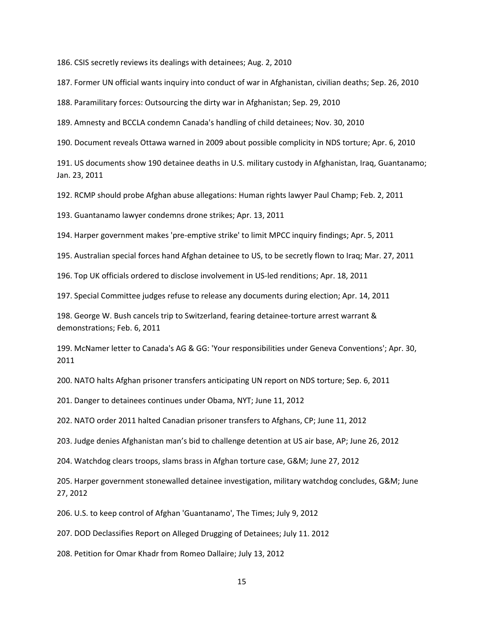186. CSIS secretly reviews its dealings with detainees; Aug. 2, 2010

187. Former UN official wants inquiry into conduct of war in Afghanistan, civilian deaths; Sep. 26, 2010

188. Paramilitary forces: Outsourcing the dirty war in Afghanistan; Sep. 29, 2010

189. Amnesty and BCCLA condemn Canada's handling of child detainees; Nov. 30, 2010

190. Document reveals Ottawa warned in 2009 about possible complicity in NDS torture; Apr. 6, 2010

191. US documents show 190 detainee deaths in U.S. military custody in Afghanistan, Iraq, Guantanamo; Jan. 23, 2011

192. RCMP should probe Afghan abuse allegations: Human rights lawyer Paul Champ; Feb. 2, 2011

193. Guantanamo lawyer condemns drone strikes; Apr. 13, 2011

194. Harper government makes 'pre‐emptive strike' to limit MPCC inquiry findings; Apr. 5, 2011

195. Australian special forces hand Afghan detainee to US, to be secretly flown to Iraq; Mar. 27, 2011

196. Top UK officials ordered to disclose involvement in US‐led renditions; Apr. 18, 2011

197. Special Committee judges refuse to release any documents during election; Apr. 14, 2011

198. George W. Bush cancels trip to Switzerland, fearing detainee-torture arrest warrant & demonstrations; Feb. 6, 2011

199. McNamer letter to Canada's AG & GG: 'Your responsibilities under Geneva Conventions'; Apr. 30, 2011

200. NATO halts Afghan prisoner transfers anticipating UN report on NDS torture; Sep. 6, 2011

201. Danger to detainees continues under Obama, NYT; June 11, 2012

202. NATO order 2011 halted Canadian prisoner transfers to Afghans, CP; June 11, 2012

203. Judge denies Afghanistan man's bid to challenge detention at US air base, AP; June 26, 2012

204. Watchdog clears troops, slams brass in Afghan torture case, G&M; June 27, 2012

205. Harper government stonewalled detainee investigation, military watchdog concludes, G&M; June 27, 2012

206. U.S. to keep control of Afghan 'Guantanamo', The Times; July 9, 2012

207. DOD Declassifies Report on Alleged Drugging of Detainees; July 11. 2012

208. Petition for Omar Khadr from Romeo Dallaire; July 13, 2012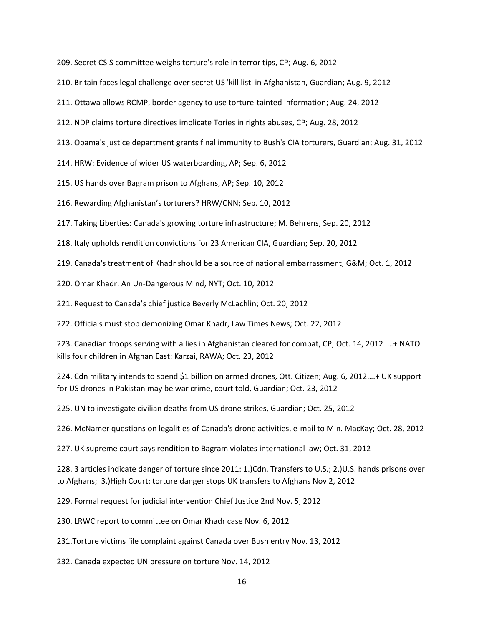209. Secret CSIS committee weighs torture's role in terror tips, CP; Aug. 6, 2012

210. Britain faces legal challenge over secret US 'kill list' in Afghanistan, Guardian; Aug. 9, 2012

211. Ottawa allows RCMP, border agency to use torture‐tainted information; Aug. 24, 2012

212. NDP claims torture directives implicate Tories in rights abuses, CP; Aug. 28, 2012

213. Obama's justice department grants final immunity to Bush's CIA torturers, Guardian; Aug. 31, 2012

214. HRW: Evidence of wider US waterboarding, AP; Sep. 6, 2012

215. US hands over Bagram prison to Afghans, AP; Sep. 10, 2012

216. Rewarding Afghanistan's torturers? HRW/CNN; Sep. 10, 2012

217. Taking Liberties: Canada's growing torture infrastructure; M. Behrens, Sep. 20, 2012

218. Italy upholds rendition convictions for 23 American CIA, Guardian; Sep. 20, 2012

219. Canada's treatment of Khadr should be a source of national embarrassment, G&M; Oct. 1, 2012

220. Omar Khadr: An Un‐Dangerous Mind, NYT; Oct. 10, 2012

221. Request to Canada's chief justice Beverly McLachlin; Oct. 20, 2012

222. Officials must stop demonizing Omar Khadr, Law Times News; Oct. 22, 2012

223. Canadian troops serving with allies in Afghanistan cleared for combat, CP; Oct. 14, 2012 …+ NATO kills four children in Afghan East: Karzai, RAWA; Oct. 23, 2012

224. Cdn military intends to spend \$1 billion on armed drones, Ott. Citizen; Aug. 6, 2012….+ UK support for US drones in Pakistan may be war crime, court told, Guardian; Oct. 23, 2012

225. UN to investigate civilian deaths from US drone strikes, Guardian; Oct. 25, 2012

226. McNamer questions on legalities of Canada's drone activities, e‐mail to Min. MacKay; Oct. 28, 2012

227. UK supreme court says rendition to Bagram violates international law; Oct. 31, 2012

228. 3 articles indicate danger of torture since 2011: 1.)Cdn. Transfers to U.S.; 2.)U.S. hands prisons over to Afghans; 3.)High Court: torture danger stops UK transfers to Afghans Nov 2, 2012

229. Formal request for judicial intervention Chief Justice 2nd Nov. 5, 2012

230. LRWC report to committee on Omar Khadr case Nov. 6, 2012

231.Torture victims file complaint against Canada over Bush entry Nov. 13, 2012

232. Canada expected UN pressure on torture Nov. 14, 2012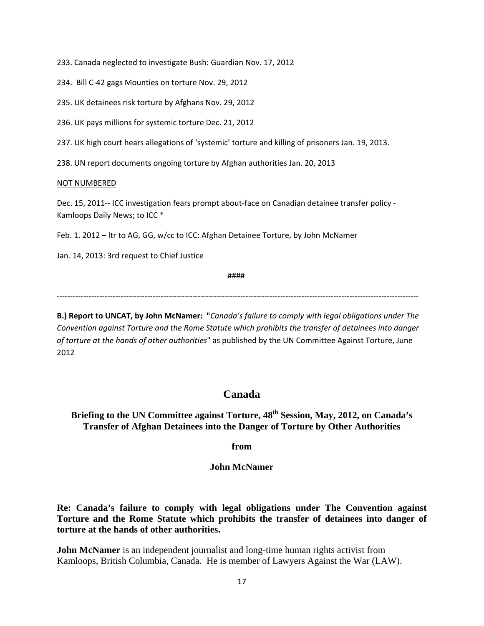233. Canada neglected to investigate Bush: Guardian Nov. 17, 2012

234. Bill C‐42 gags Mounties on torture Nov. 29, 2012

235. UK detainees risk torture by Afghans Nov. 29, 2012

236. UK pays millions for systemic torture Dec. 21, 2012

237. UK high court hears allegations of 'systemic' torture and killing of prisoners Jan. 19, 2013.

238. UN report documents ongoing torture by Afghan authorities Jan. 20, 2013

#### NOT NUMBERED

Dec. 15, 2011-- ICC investigation fears prompt about-face on Canadian detainee transfer policy -Kamloops Daily News; to ICC \*

Feb. 1. 2012 – ltr to AG, GG, w/cc to ICC: Afghan Detainee Torture, by John McNamer

Jan. 14, 2013: 3rd request to Chief Justice

####

‐‐‐‐‐‐‐‐‐‐‐‐‐‐‐‐‐‐‐‐‐‐‐‐‐‐‐‐‐‐‐‐‐‐‐‐‐‐‐‐‐‐‐‐‐‐‐‐‐‐‐‐‐‐‐‐‐‐‐‐‐‐‐‐‐‐‐‐‐‐‐‐‐‐‐‐‐‐‐‐‐‐‐‐‐‐‐‐‐‐‐‐‐‐‐‐‐‐‐‐‐‐‐‐‐‐‐‐‐‐‐‐‐‐‐‐‐‐‐‐‐‐‐‐‐‐‐‐‐‐‐‐‐‐‐‐

**B.) Report to UNCAT, by John McNamer: "***Canada's failure to comply with legal obligations under The Convention against Torture and the Rome Statute which prohibits the transfer of detainees into danger of torture at the hands of other authorities*" as published by the UN Committee Against Torture, June 2012

# **Canada**

**Briefing to the UN Committee against Torture, 48th Session, May, 2012, on Canada's Transfer of Afghan Detainees into the Danger of Torture by Other Authorities** 

**from** 

**John McNamer** 

**Re: Canada's failure to comply with legal obligations under The Convention against Torture and the Rome Statute which prohibits the transfer of detainees into danger of torture at the hands of other authorities.** 

**John McNamer** is an independent journalist and long-time human rights activist from Kamloops, British Columbia, Canada. He is member of Lawyers Against the War (LAW).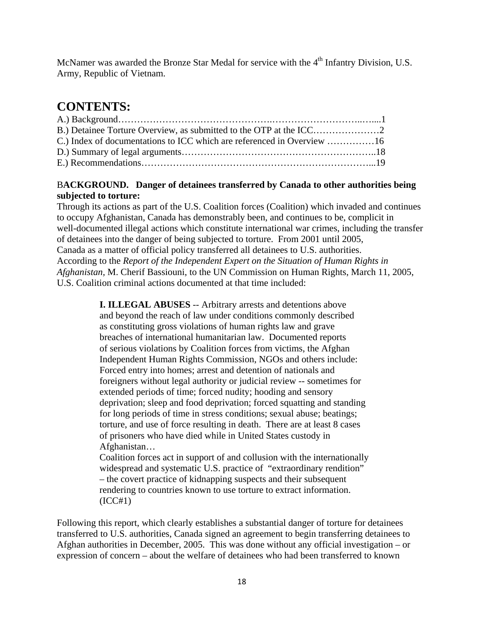McNamer was awarded the Bronze Star Medal for service with the 4<sup>th</sup> Infantry Division, U.S. Army, Republic of Vietnam.

# **CONTENTS:**

# B**ACKGROUND. Danger of detainees transferred by Canada to other authorities being subjected to torture:**

Through its actions as part of the U.S. Coalition forces (Coalition) which invaded and continues to occupy Afghanistan, Canada has demonstrably been, and continues to be, complicit in well-documented illegal actions which constitute international war crimes, including the transfer of detainees into the danger of being subjected to torture. From 2001 until 2005, Canada as a matter of official policy transferred all detainees to U.S. authorities. According to the *Report of the Independent Expert on the Situation of Human Rights in Afghanistan,* M. Cherif Bassiouni, to the UN Commission on Human Rights, March 11, 2005, U.S. Coalition criminal actions documented at that time included:

> **I. ILLEGAL ABUSES** -- Arbitrary arrests and detentions above and beyond the reach of law under conditions commonly described as constituting gross violations of human rights law and grave breaches of international humanitarian law. Documented reports of serious violations by Coalition forces from victims, the Afghan Independent Human Rights Commission, NGOs and others include: Forced entry into homes; arrest and detention of nationals and foreigners without legal authority or judicial review -- sometimes for extended periods of time; forced nudity; hooding and sensory deprivation; sleep and food deprivation; forced squatting and standing for long periods of time in stress conditions; sexual abuse; beatings; torture, and use of force resulting in death. There are at least 8 cases of prisoners who have died while in United States custody in Afghanistan…

 Coalition forces act in support of and collusion with the internationally widespread and systematic U.S. practice of "extraordinary rendition" – the covert practice of kidnapping suspects and their subsequent rendering to countries known to use torture to extract information.  $(ICC#1)$ 

Following this report, which clearly establishes a substantial danger of torture for detainees transferred to U.S. authorities, Canada signed an agreement to begin transferring detainees to Afghan authorities in December, 2005. This was done without any official investigation – or expression of concern – about the welfare of detainees who had been transferred to known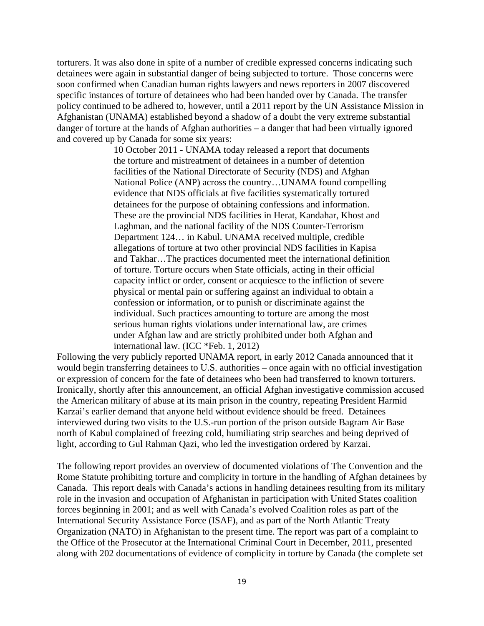torturers. It was also done in spite of a number of credible expressed concerns indicating such detainees were again in substantial danger of being subjected to torture. Those concerns were soon confirmed when Canadian human rights lawyers and news reporters in 2007 discovered specific instances of torture of detainees who had been handed over by Canada. The transfer policy continued to be adhered to, however, until a 2011 report by the UN Assistance Mission in Afghanistan (UNAMA) established beyond a shadow of a doubt the very extreme substantial danger of torture at the hands of Afghan authorities – a danger that had been virtually ignored and covered up by Canada for some six years:

> 10 October 2011 - UNAMA today released a report that documents the torture and mistreatment of detainees in a number of detention facilities of the National Directorate of Security (NDS) and Afghan National Police (ANP) across the country…UNAMA found compelling evidence that NDS officials at five facilities systematically tortured detainees for the purpose of obtaining confessions and information. These are the provincial NDS facilities in Herat, Kandahar, Khost and Laghman, and the national facility of the NDS Counter-Terrorism Department 124… in Kabul. UNAMA received multiple, credible allegations of torture at two other provincial NDS facilities in Kapisa and Takhar…The practices documented meet the international definition of torture. Torture occurs when State officials, acting in their official capacity inflict or order, consent or acquiesce to the infliction of severe physical or mental pain or suffering against an individual to obtain a confession or information, or to punish or discriminate against the individual. Such practices amounting to torture are among the most serious human rights violations under international law, are crimes under Afghan law and are strictly prohibited under both Afghan and international law. (ICC \*Feb. 1, 2012)

Following the very publicly reported UNAMA report, in early 2012 Canada announced that it would begin transferring detainees to U.S. authorities – once again with no official investigation or expression of concern for the fate of detainees who been had transferred to known torturers. Ironically, shortly after this announcement, an official Afghan investigative commission accused the American military of abuse at its main prison in the country, repeating President Harmid Karzai's earlier demand that anyone held without evidence should be freed. Detainees interviewed during two visits to the U.S.-run portion of the prison outside Bagram Air Base north of Kabul complained of freezing cold, humiliating strip searches and being deprived of light, according to Gul Rahman Qazi, who led the investigation ordered by Karzai.

The following report provides an overview of documented violations of The Convention and the Rome Statute prohibiting torture and complicity in torture in the handling of Afghan detainees by Canada. This report deals with Canada's actions in handling detainees resulting from its military role in the invasion and occupation of Afghanistan in participation with United States coalition forces beginning in 2001; and as well with Canada's evolved Coalition roles as part of the International Security Assistance Force (ISAF), and as part of the North Atlantic Treaty Organization (NATO) in Afghanistan to the present time. The report was part of a complaint to the Office of the Prosecutor at the International Criminal Court in December, 2011, presented along with 202 documentations of evidence of complicity in torture by Canada (the complete set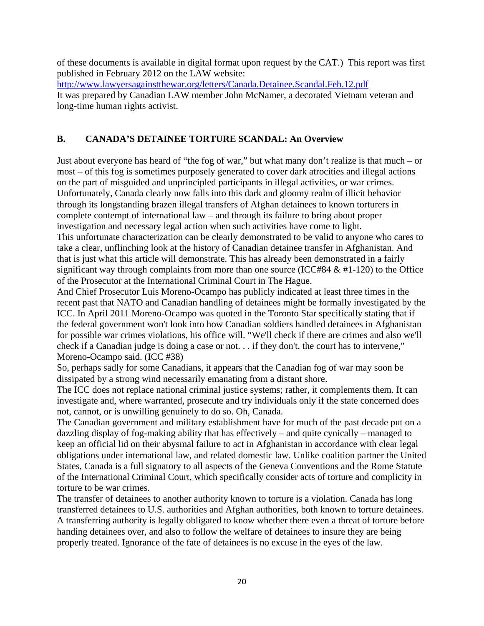of these documents is available in digital format upon request by the CAT.) This report was first published in February 2012 on the LAW website:

<http://www.lawyersagainstthewar.org/letters/Canada.Detainee.Scandal.Feb.12.pdf> It was prepared by Canadian LAW member John McNamer, a decorated Vietnam veteran and long-time human rights activist.

# **B. CANADA'S DETAINEE TORTURE SCANDAL: An Overview**

Just about everyone has heard of "the fog of war," but what many don't realize is that much – or most – of this fog is sometimes purposely generated to cover dark atrocities and illegal actions on the part of misguided and unprincipled participants in illegal activities, or war crimes. Unfortunately, Canada clearly now falls into this dark and gloomy realm of illicit behavior through its longstanding brazen illegal transfers of Afghan detainees to known torturers in complete contempt of international law – and through its failure to bring about proper investigation and necessary legal action when such activities have come to light.

This unfortunate characterization can be clearly demonstrated to be valid to anyone who cares to take a clear, unflinching look at the history of Canadian detainee transfer in Afghanistan. And that is just what this article will demonstrate. This has already been demonstrated in a fairly significant way through complaints from more than one source (ICC#84  $&$  #1-120) to the Office of the Prosecutor at the International Criminal Court in The Hague.

And Chief Prosecutor Luis Moreno-Ocampo has publicly indicated at least three times in the recent past that NATO and Canadian handling of detainees might be formally investigated by the ICC. In April 2011 Moreno-Ocampo was quoted in the Toronto Star specifically stating that if the federal government won't look into how Canadian soldiers handled detainees in Afghanistan for possible war crimes violations, his office will. "We'll check if there are crimes and also we'll check if a Canadian judge is doing a case or not. . . if they don't, the court has to intervene," Moreno-Ocampo said. (ICC #38)

So, perhaps sadly for some Canadians, it appears that the Canadian fog of war may soon be dissipated by a strong wind necessarily emanating from a distant shore.

The ICC does not replace national criminal justice systems; rather, it complements them. It can investigate and, where warranted, prosecute and try individuals only if the state concerned does not, cannot, or is unwilling genuinely to do so. Oh, Canada.

The Canadian government and military establishment have for much of the past decade put on a dazzling display of fog-making ability that has effectively – and quite cynically – managed to keep an official lid on their abysmal failure to act in Afghanistan in accordance with clear legal obligations under international law, and related domestic law. Unlike coalition partner the United States, Canada is a full signatory to all aspects of the Geneva Conventions and the Rome Statute of the International Criminal Court, which specifically consider acts of torture and complicity in torture to be war crimes.

The transfer of detainees to another authority known to torture is a violation. Canada has long transferred detainees to U.S. authorities and Afghan authorities, both known to torture detainees. A transferring authority is legally obligated to know whether there even a threat of torture before handing detainees over, and also to follow the welfare of detainees to insure they are being properly treated. Ignorance of the fate of detainees is no excuse in the eyes of the law.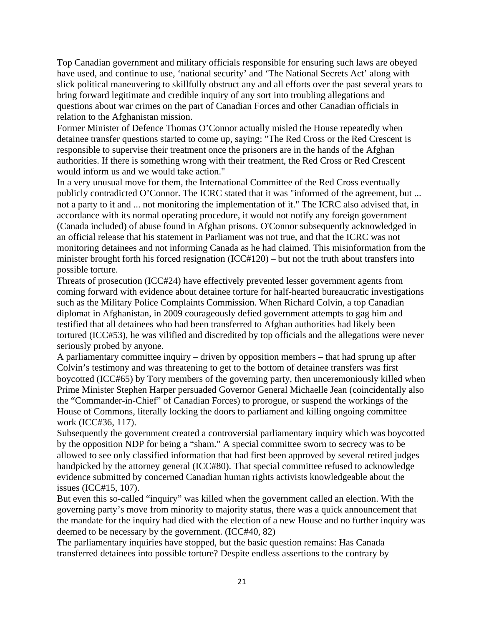Top Canadian government and military officials responsible for ensuring such laws are obeyed have used, and continue to use, 'national security' and 'The National Secrets Act' along with slick political maneuvering to skillfully obstruct any and all efforts over the past several years to bring forward legitimate and credible inquiry of any sort into troubling allegations and questions about war crimes on the part of Canadian Forces and other Canadian officials in relation to the Afghanistan mission.

Former Minister of Defence Thomas O'Connor actually misled the House repeatedly when detainee transfer questions started to come up, saying: "The Red Cross or the Red Crescent is responsible to supervise their treatment once the prisoners are in the hands of the Afghan authorities. If there is something wrong with their treatment, the Red Cross or Red Crescent would inform us and we would take action."

In a very unusual move for them, the International Committee of the Red Cross eventually publicly contradicted O'Connor. The ICRC stated that it was "informed of the agreement, but ... not a party to it and ... not monitoring the implementation of it." The ICRC also advised that, in accordance with its normal operating procedure, it would not notify any foreign government (Canada included) of abuse found in Afghan prisons. O'Connor subsequently acknowledged in an official release that his statement in Parliament was not true, and that the ICRC was not monitoring detainees and not informing Canada as he had claimed. This misinformation from the minister brought forth his forced resignation (ICC#120) – but not the truth about transfers into possible torture.

Threats of prosecution (ICC#24) have effectively prevented lesser government agents from coming forward with evidence about detainee torture for half-hearted bureaucratic investigations such as the Military Police Complaints Commission. When Richard Colvin, a top Canadian diplomat in Afghanistan, in 2009 courageously defied government attempts to gag him and testified that all detainees who had been transferred to Afghan authorities had likely been tortured (ICC#53), he was vilified and discredited by top officials and the allegations were never seriously probed by anyone.

A parliamentary committee inquiry – driven by opposition members – that had sprung up after Colvin's testimony and was threatening to get to the bottom of detainee transfers was first boycotted (ICC#65) by Tory members of the governing party, then unceremoniously killed when Prime Minister Stephen Harper persuaded Governor General Michaelle Jean (coincidentally also the "Commander-in-Chief" of Canadian Forces) to prorogue, or suspend the workings of the House of Commons, literally locking the doors to parliament and killing ongoing committee work (ICC#36, 117).

Subsequently the government created a controversial parliamentary inquiry which was boycotted by the opposition NDP for being a "sham." A special committee sworn to secrecy was to be allowed to see only classified information that had first been approved by several retired judges handpicked by the attorney general (ICC#80). That special committee refused to acknowledge evidence submitted by concerned Canadian human rights activists knowledgeable about the issues (ICC#15, 107).

But even this so-called "inquiry" was killed when the government called an election. With the governing party's move from minority to majority status, there was a quick announcement that the mandate for the inquiry had died with the election of a new House and no further inquiry was deemed to be necessary by the government. (ICC#40, 82)

The parliamentary inquiries have stopped, but the basic question remains: Has Canada transferred detainees into possible torture? Despite endless assertions to the contrary by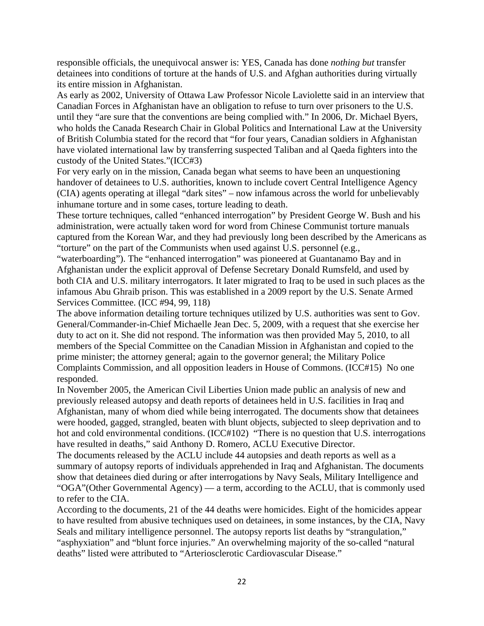responsible officials, the unequivocal answer is: YES, Canada has done *nothing but* transfer detainees into conditions of torture at the hands of U.S. and Afghan authorities during virtually its entire mission in Afghanistan.

As early as 2002, University of Ottawa Law Professor Nicole Laviolette said in an interview that Canadian Forces in Afghanistan have an obligation to refuse to turn over prisoners to the U.S. until they "are sure that the conventions are being complied with." In 2006, Dr. Michael Byers, who holds the Canada Research Chair in Global Politics and International Law at the University of British Columbia stated for the record that "for four years, Canadian soldiers in Afghanistan have violated international law by transferring suspected Taliban and al Qaeda fighters into the custody of the United States."(ICC#3)

For very early on in the mission, Canada began what seems to have been an unquestioning handover of detainees to U.S. authorities, known to include covert Central Intelligence Agency (CIA) agents operating at illegal "dark sites" – now infamous across the world for unbelievably inhumane torture and in some cases, torture leading to death.

These torture techniques, called "enhanced interrogation" by President George W. Bush and his administration, were actually taken word for word from Chinese Communist torture manuals captured from the Korean War, and they had previously long been described by the Americans as "torture" on the part of the Communists when used against U.S. personnel (e.g.,

"waterboarding"). The "enhanced interrogation" was pioneered at Guantanamo Bay and in Afghanistan under the explicit approval of Defense Secretary Donald Rumsfeld, and used by both CIA and U.S. military interrogators. It later migrated to Iraq to be used in such places as the infamous Abu Ghraib prison. This was established in a 2009 report by the U.S. Senate Armed Services Committee. (ICC #94, 99, 118)

The above information detailing torture techniques utilized by U.S. authorities was sent to Gov. General/Commander-in-Chief Michaelle Jean Dec. 5, 2009, with a request that she exercise her duty to act on it. She did not respond. The information was then provided May 5, 2010, to all members of the Special Committee on the Canadian Mission in Afghanistan and copied to the prime minister; the attorney general; again to the governor general; the Military Police Complaints Commission, and all opposition leaders in House of Commons. (ICC#15) No one responded.

In November 2005, the American Civil Liberties Union made public an analysis of new and previously released autopsy and death reports of detainees held in U.S. facilities in Iraq and Afghanistan, many of whom died while being interrogated. The documents show that detainees were hooded, gagged, strangled, beaten with blunt objects, subjected to sleep deprivation and to hot and cold environmental conditions. (ICC#102) "There is no question that U.S. interrogations have resulted in deaths," said Anthony D. Romero, ACLU Executive Director.

The documents released by the ACLU include 44 autopsies and death reports as well as a summary of autopsy reports of individuals apprehended in Iraq and Afghanistan. The documents show that detainees died during or after interrogations by Navy Seals, Military Intelligence and "OGA"(Other Governmental Agency) — a term, according to the ACLU, that is commonly used to refer to the CIA.

According to the documents, 21 of the 44 deaths were homicides. Eight of the homicides appear to have resulted from abusive techniques used on detainees, in some instances, by the CIA, Navy Seals and military intelligence personnel. The autopsy reports list deaths by "strangulation," "asphyxiation" and "blunt force injuries." An overwhelming majority of the so-called "natural deaths" listed were attributed to "Arteriosclerotic Cardiovascular Disease."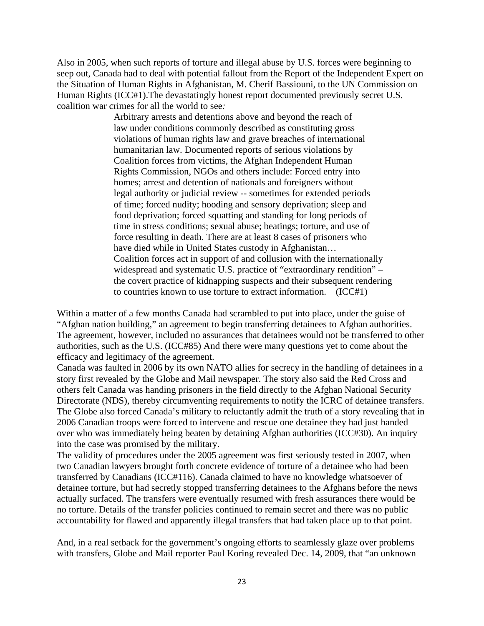Also in 2005, when such reports of torture and illegal abuse by U.S. forces were beginning to seep out, Canada had to deal with potential fallout from the Report of the Independent Expert on the Situation of Human Rights in Afghanistan, M. Cherif Bassiouni, to the UN Commission on Human Rights (ICC#1).The devastatingly honest report documented previously secret U.S. coalition war crimes for all the world to see*:* 

> Arbitrary arrests and detentions above and beyond the reach of law under conditions commonly described as constituting gross violations of human rights law and grave breaches of international humanitarian law. Documented reports of serious violations by Coalition forces from victims, the Afghan Independent Human Rights Commission, NGOs and others include: Forced entry into homes; arrest and detention of nationals and foreigners without legal authority or judicial review -- sometimes for extended periods of time; forced nudity; hooding and sensory deprivation; sleep and food deprivation; forced squatting and standing for long periods of time in stress conditions; sexual abuse; beatings; torture, and use of force resulting in death. There are at least 8 cases of prisoners who have died while in United States custody in Afghanistan… Coalition forces act in support of and collusion with the internationally widespread and systematic U.S. practice of "extraordinary rendition" – the covert practice of kidnapping suspects and their subsequent rendering to countries known to use torture to extract information. (ICC#1)

Within a matter of a few months Canada had scrambled to put into place, under the guise of "Afghan nation building," an agreement to begin transferring detainees to Afghan authorities. The agreement, however, included no assurances that detainees would not be transferred to other authorities, such as the U.S. (ICC#85) And there were many questions yet to come about the efficacy and legitimacy of the agreement.

Canada was faulted in 2006 by its own NATO allies for secrecy in the handling of detainees in a story first revealed by the Globe and Mail newspaper. The story also said the Red Cross and others felt Canada was handing prisoners in the field directly to the Afghan National Security Directorate (NDS), thereby circumventing requirements to notify the ICRC of detainee transfers. The Globe also forced Canada's military to reluctantly admit the truth of a story revealing that in 2006 Canadian troops were forced to intervene and rescue one detainee they had just handed over who was immediately being beaten by detaining Afghan authorities (ICC#30). An inquiry into the case was promised by the military.

The validity of procedures under the 2005 agreement was first seriously tested in 2007, when two Canadian lawyers brought forth concrete evidence of torture of a detainee who had been transferred by Canadians (ICC#116). Canada claimed to have no knowledge whatsoever of detainee torture, but had secretly stopped transferring detainees to the Afghans before the news actually surfaced. The transfers were eventually resumed with fresh assurances there would be no torture. Details of the transfer policies continued to remain secret and there was no public accountability for flawed and apparently illegal transfers that had taken place up to that point.

And, in a real setback for the government's ongoing efforts to seamlessly glaze over problems with transfers, Globe and Mail reporter Paul Koring revealed Dec. 14, 2009, that "an unknown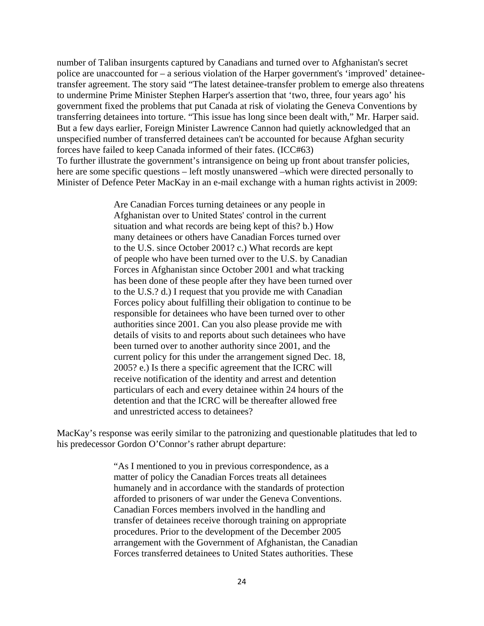number of Taliban insurgents captured by Canadians and turned over to Afghanistan's secret police are unaccounted for – a serious violation of the Harper government's 'improved' detaineetransfer agreement. The story said "The latest detainee-transfer problem to emerge also threatens to undermine Prime Minister Stephen Harper's assertion that 'two, three, four years ago' his government fixed the problems that put Canada at risk of violating the Geneva Conventions by transferring detainees into torture. "This issue has long since been dealt with," Mr. Harper said. But a few days earlier, Foreign Minister Lawrence Cannon had quietly acknowledged that an unspecified number of transferred detainees can't be accounted for because Afghan security forces have failed to keep Canada informed of their fates. (ICC#63) To further illustrate the government's intransigence on being up front about transfer policies, here are some specific questions – left mostly unanswered –which were directed personally to Minister of Defence Peter MacKay in an e-mail exchange with a human rights activist in 2009:

> Are Canadian Forces turning detainees or any people in Afghanistan over to United States' control in the current situation and what records are being kept of this? b.) How many detainees or others have Canadian Forces turned over to the U.S. since October 2001? c.) What records are kept of people who have been turned over to the U.S. by Canadian Forces in Afghanistan since October 2001 and what tracking has been done of these people after they have been turned over to the U.S.? d.) I request that you provide me with Canadian Forces policy about fulfilling their obligation to continue to be responsible for detainees who have been turned over to other authorities since 2001. Can you also please provide me with details of visits to and reports about such detainees who have been turned over to another authority since 2001, and the current policy for this under the arrangement signed Dec. 18, 2005? e.) Is there a specific agreement that the ICRC will receive notification of the identity and arrest and detention particulars of each and every detainee within 24 hours of the detention and that the ICRC will be thereafter allowed free and unrestricted access to detainees?

MacKay's response was eerily similar to the patronizing and questionable platitudes that led to his predecessor Gordon O'Connor's rather abrupt departure:

> "As I mentioned to you in previous correspondence, as a matter of policy the Canadian Forces treats all detainees humanely and in accordance with the standards of protection afforded to prisoners of war under the Geneva Conventions. Canadian Forces members involved in the handling and transfer of detainees receive thorough training on appropriate procedures. Prior to the development of the December 2005 arrangement with the Government of Afghanistan, the Canadian Forces transferred detainees to United States authorities. These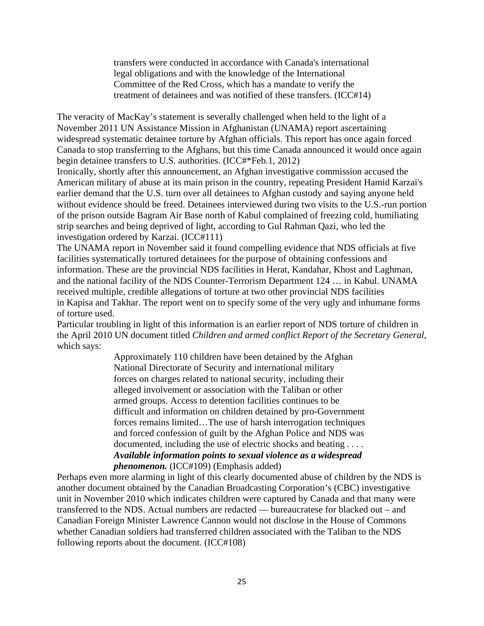transfers were conducted in accordance with Canada's international legal obligations and with the knowledge of the International Committee of the Red Cross, which has a mandate to verify the treatment of detainees and was notified of these transfers. (ICC#14)

The veracity of MacKay's statement is severally challenged when held to the light of a November 2011 UN Assistance Mission in Afghanistan (UNAMA) report ascertaining widespread systematic detainee torture by Afghan officials. This report has once again forced Canada to stop transferring to the Afghans, but this time Canada announced it would once again begin detainee transfers to U.S. authorities. (ICC#\*Feb.1, 2012)

Ironically, shortly after this announcement, an Afghan investigative commission accused the American military of abuse at its main prison in the country, repeating President Hamid Karzai's earlier demand that the U.S. turn over all detainees to Afghan custody and saying anyone held without evidence should be freed. Detainees interviewed during two visits to the U.S.-run portion of the prison outside Bagram Air Base north of Kabul complained of freezing cold, humiliating strip searches and being deprived of light, according to Gul Rahman Qazi, who led the investigation ordered by Karzai. (ICC#111)

The UNAMA report in November said it found compelling evidence that NDS officials at five facilities systematically tortured detainees for the purpose of obtaining confessions and information. These are the provincial NDS facilities in Herat, Kandahar, Khost and Laghman, and the national facility of the NDS Counter-Terrorism Department 124 … in Kabul. UNAMA received multiple, credible allegations of torture at two other provincial NDS facilities in Kapisa and Takhar. The report went on to specify some of the very ugly and inhumane forms of torture used.

Particular troubling in light of this information is an earlier report of NDS torture of children in the April 2010 UN document titled *Children and armed conflict Report of the Secretary General*, which says:

> Approximately 110 children have been detained by the Afghan National Directorate of Security and international military forces on charges related to national security, including their alleged involvement or association with the Taliban or other armed groups. Access to detention facilities continues to be difficult and information on children detained by pro-Government forces remains limited…The use of harsh interrogation techniques and forced confession of guilt by the Afghan Police and NDS was documented, including the use of electric shocks and beating *. . . . Available information points to sexual violence as a widespread phenomenon.* (ICC#109) (Emphasis added)

Perhaps even more alarming in light of this clearly documented abuse of children by the NDS is another document obtained by the Canadian Broadcasting Corporation's (CBC) investigative unit in November 2010 which indicates children were captured by Canada and that many were transferred to the NDS. Actual numbers are redacted — bureaucratese for blacked out – and Canadian Foreign Minister Lawrence Cannon would not disclose in the House of Commons whether Canadian soldiers had transferred children associated with the Taliban to the NDS following reports about the document. (ICC#108)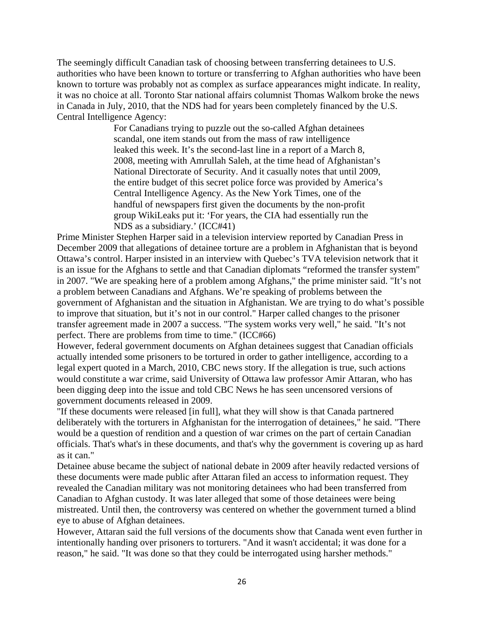The seemingly difficult Canadian task of choosing between transferring detainees to U.S. authorities who have been known to torture or transferring to Afghan authorities who have been known to torture was probably not as complex as surface appearances might indicate. In reality, it was no choice at all. Toronto Star national affairs columnist Thomas Walkom broke the news in Canada in July, 2010, that the NDS had for years been completely financed by the U.S. Central Intelligence Agency:

> For Canadians trying to puzzle out the so-called Afghan detainees scandal, one item stands out from the mass of raw intelligence leaked this week. It's the second-last line in a report of a March 8, 2008, meeting with Amrullah Saleh, at the time head of Afghanistan's National Directorate of Security. And it casually notes that until 2009, the entire budget of this secret police force was provided by America's Central Intelligence Agency. As the New York Times, one of the handful of newspapers first given the documents by the non-profit group WikiLeaks put it: 'For years, the CIA had essentially run the NDS as a subsidiary.' (ICC#41)

Prime Minister Stephen Harper said in a television interview reported by Canadian Press in December 2009 that allegations of detainee torture are a problem in Afghanistan that is beyond Ottawa's control. Harper insisted in an interview with Quebec's TVA television network that it is an issue for the Afghans to settle and that Canadian diplomats "reformed the transfer system" in 2007. "We are speaking here of a problem among Afghans," the prime minister said. "It's not a problem between Canadians and Afghans. We're speaking of problems between the government of Afghanistan and the situation in Afghanistan. We are trying to do what's possible to improve that situation, but it's not in our control." Harper called changes to the prisoner transfer agreement made in 2007 a success. "The system works very well," he said. "It's not perfect. There are problems from time to time." (ICC#66)

However, federal government documents on Afghan detainees suggest that Canadian officials actually intended some prisoners to be tortured in order to gather intelligence, according to a legal expert quoted in a March, 2010, CBC news story. If the allegation is true, such actions would constitute a war crime, said University of Ottawa law professor Amir Attaran, who has been digging deep into the issue and told CBC News he has seen uncensored versions of government documents released in 2009.

"If these documents were released [in full], what they will show is that Canada partnered deliberately with the torturers in Afghanistan for the interrogation of detainees," he said. "There would be a question of rendition and a question of war crimes on the part of certain Canadian officials. That's what's in these documents, and that's why the government is covering up as hard as it can."

Detainee abuse became the subject of national debate in 2009 after heavily redacted versions of these documents were made public after Attaran filed an access to information request. They revealed the Canadian military was not monitoring detainees who had been transferred from Canadian to Afghan custody. It was later alleged that some of those detainees were being mistreated. Until then, the controversy was centered on whether the government turned a blind eye to abuse of Afghan detainees.

However, Attaran said the full versions of the documents show that Canada went even further in intentionally handing over prisoners to torturers. "And it wasn't accidental; it was done for a reason," he said. "It was done so that they could be interrogated using harsher methods."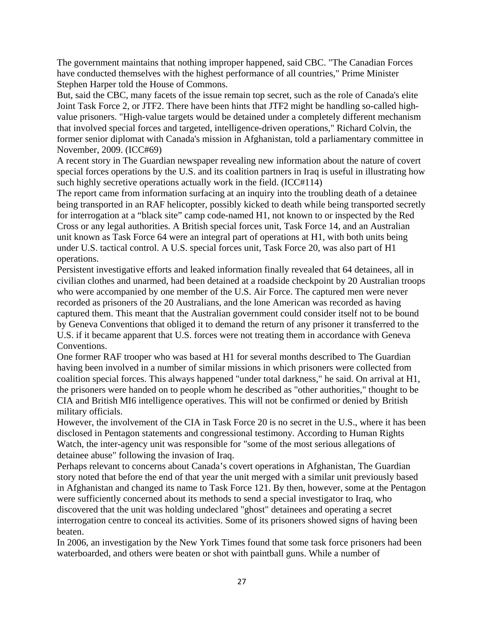The government maintains that nothing improper happened, said CBC. "The Canadian Forces have conducted themselves with the highest performance of all countries," Prime Minister Stephen Harper told the House of Commons.

But, said the CBC, many facets of the issue remain top secret, such as the role of Canada's elite Joint Task Force 2, or JTF2. There have been hints that JTF2 might be handling so-called highvalue prisoners. "High-value targets would be detained under a completely different mechanism that involved special forces and targeted, intelligence-driven operations," Richard Colvin, the former senior diplomat with Canada's mission in Afghanistan, told a parliamentary committee in November, 2009. (ICC#69)

A recent story in The Guardian newspaper revealing new information about the nature of covert special forces operations by the U.S. and its coalition partners in Iraq is useful in illustrating how such highly secretive operations actually work in the field. (ICC#114)

The report came from information surfacing at an inquiry into the troubling death of a detainee being transported in an RAF helicopter, possibly kicked to death while being transported secretly for interrogation at a "black site" camp code-named H1, not known to or inspected by the Red Cross or any legal authorities. A British special forces unit, Task Force 14, and an Australian unit known as Task Force 64 were an integral part of operations at H1, with both units being under U.S. tactical control. A U.S. special forces unit, Task Force 20, was also part of H1 operations.

Persistent investigative efforts and leaked information finally revealed that 64 detainees, all in civilian clothes and unarmed, had been detained at a roadside checkpoint by 20 Australian troops who were accompanied by one member of the U.S. Air Force. The captured men were never recorded as prisoners of the 20 Australians, and the lone American was recorded as having captured them. This meant that the Australian government could consider itself not to be bound by Geneva Conventions that obliged it to demand the return of any prisoner it transferred to the U.S. if it became apparent that U.S. forces were not treating them in accordance with Geneva Conventions.

One former RAF trooper who was based at H1 for several months described to The Guardian having been involved in a number of similar missions in which prisoners were collected from coalition special forces. This always happened "under total darkness," he said. On arrival at H1, the prisoners were handed on to people whom he described as "other authorities," thought to be CIA and British MI6 intelligence operatives. This will not be confirmed or denied by British military officials.

However, the involvement of the CIA in Task Force 20 is no secret in the U.S., where it has been disclosed in Pentagon statements and congressional testimony. According to Human Rights Watch, the inter-agency unit was responsible for "some of the most serious allegations of detainee abuse" following the invasion of Iraq.

Perhaps relevant to concerns about Canada's covert operations in Afghanistan, The Guardian story noted that before the end of that year the unit merged with a similar unit previously based in Afghanistan and changed its name to Task Force 121. By then, however, some at the Pentagon were sufficiently concerned about its methods to send a special investigator to Iraq, who discovered that the unit was holding undeclared "ghost" detainees and operating a secret interrogation centre to conceal its activities. Some of its prisoners showed signs of having been beaten.

In 2006, an investigation by the New York Times found that some task force prisoners had been waterboarded, and others were beaten or shot with paintball guns. While a number of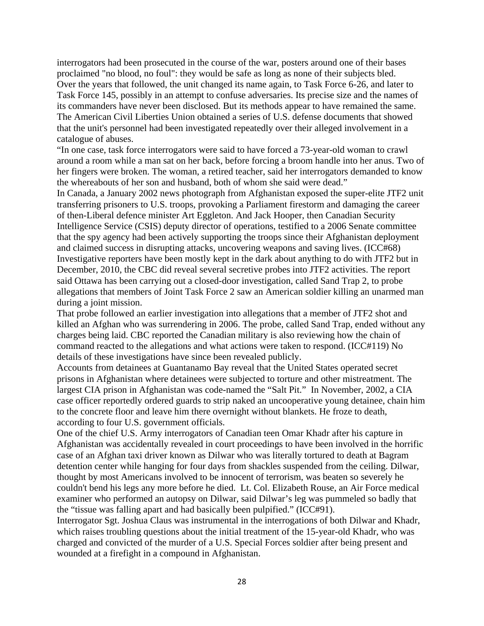interrogators had been prosecuted in the course of the war, posters around one of their bases proclaimed "no blood, no foul": they would be safe as long as none of their subjects bled. Over the years that followed, the unit changed its name again, to Task Force 6-26, and later to Task Force 145, possibly in an attempt to confuse adversaries. Its precise size and the names of its commanders have never been disclosed. But its methods appear to have remained the same. The American Civil Liberties Union obtained a series of U.S. defense documents that showed that the unit's personnel had been investigated repeatedly over their alleged involvement in a catalogue of abuses.

"In one case, task force interrogators were said to have forced a 73-year-old woman to crawl around a room while a man sat on her back, before forcing a broom handle into her anus. Two of her fingers were broken. The woman, a retired teacher, said her interrogators demanded to know the whereabouts of her son and husband, both of whom she said were dead."

In Canada, a January 2002 news photograph from Afghanistan exposed the super-elite JTF2 unit transferring prisoners to U.S. troops, provoking a Parliament firestorm and damaging the career of then-Liberal defence minister Art Eggleton. And Jack Hooper, then Canadian Security Intelligence Service (CSIS) deputy director of operations, testified to a 2006 Senate committee that the spy agency had been actively supporting the troops since their Afghanistan deployment and claimed success in disrupting attacks, uncovering weapons and saving lives. (ICC#68) Investigative reporters have been mostly kept in the dark about anything to do with JTF2 but in December, 2010, the CBC did reveal several secretive probes into JTF2 activities. The report said Ottawa has been carrying out a closed-door investigation, called Sand Trap 2, to probe allegations that members of Joint Task Force 2 saw an American soldier killing an unarmed man during a joint mission.

That probe followed an earlier investigation into allegations that a member of JTF2 shot and killed an Afghan who was surrendering in 2006. The probe, called Sand Trap, ended without any charges being laid. CBC reported the Canadian military is also reviewing how the chain of command reacted to the allegations and what actions were taken to respond. (ICC#119) No details of these investigations have since been revealed publicly.

Accounts from detainees at Guantanamo Bay reveal that the United States operated secret prisons in Afghanistan where detainees were subjected to torture and other mistreatment. The largest CIA prison in Afghanistan was code-named the "Salt Pit." In November, 2002, a CIA case officer reportedly ordered guards to strip naked an uncooperative young detainee, chain him to the concrete floor and leave him there overnight without blankets. He froze to death, according to four U.S. government officials.

One of the chief U.S. Army interrogators of Canadian teen Omar Khadr after his capture in Afghanistan was accidentally revealed in court proceedings to have been involved in the horrific case of an Afghan taxi driver known as Dilwar who was literally tortured to death at Bagram detention center while hanging for four days from shackles suspended from the ceiling. Dilwar, thought by most Americans involved to be innocent of terrorism, was beaten so severely he couldn't bend his legs any more before he died. Lt. Col. Elizabeth Rouse, an Air Force medical examiner who performed an autopsy on Dilwar, said Dilwar's leg was pummeled so badly that the "tissue was falling apart and had basically been pulpified." (ICC#91).

Interrogator Sgt. Joshua Claus was instrumental in the interrogations of both Dilwar and Khadr, which raises troubling questions about the initial treatment of the 15-year-old Khadr, who was charged and convicted of the murder of a U.S. Special Forces soldier after being present and wounded at a firefight in a compound in Afghanistan.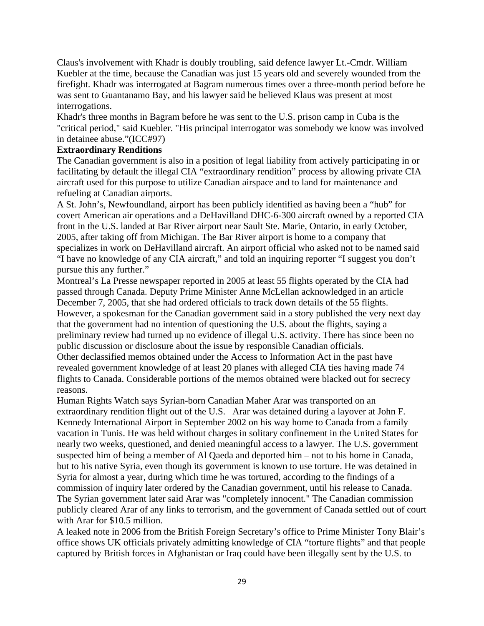Claus's involvement with Khadr is doubly troubling, said defence lawyer Lt.-Cmdr. William Kuebler at the time, because the Canadian was just 15 years old and severely wounded from the firefight. Khadr was interrogated at Bagram numerous times over a three-month period before he was sent to Guantanamo Bay, and his lawyer said he believed Klaus was present at most interrogations.

Khadr's three months in Bagram before he was sent to the U.S. prison camp in Cuba is the "critical period," said Kuebler. "His principal interrogator was somebody we know was involved in detainee abuse."(ICC#97)

#### **Extraordinary Renditions**

The Canadian government is also in a position of legal liability from actively participating in or facilitating by default the illegal CIA "extraordinary rendition" process by allowing private CIA aircraft used for this purpose to utilize Canadian airspace and to land for maintenance and refueling at Canadian airports.

A St. John's, Newfoundland, airport has been publicly identified as having been a "hub" for covert American air operations and a DeHavilland DHC-6-300 aircraft owned by a reported CIA front in the U.S. landed at Bar River airport near Sault Ste. Marie, Ontario, in early October, 2005, after taking off from Michigan. The Bar River airport is home to a company that specializes in work on DeHavilland aircraft. An airport official who asked not to be named said "I have no knowledge of any CIA aircraft," and told an inquiring reporter "I suggest you don't pursue this any further."

Montreal's La Presse newspaper reported in 2005 at least 55 flights operated by the CIA had passed through Canada. Deputy Prime Minister Anne McLellan acknowledged in an article December 7, 2005, that she had ordered officials to track down details of the 55 flights. However, a spokesman for the Canadian government said in a story published the very next day that the government had no intention of questioning the U.S. about the flights, saying a preliminary review had turned up no evidence of illegal U.S. activity. There has since been no public discussion or disclosure about the issue by responsible Canadian officials. Other declassified memos obtained under the Access to Information Act in the past have revealed government knowledge of at least 20 planes with alleged CIA ties having made 74 flights to Canada. Considerable portions of the memos obtained were blacked out for secrecy

reasons.

Human Rights Watch says Syrian-born Canadian Maher Arar was transported on an extraordinary rendition flight out of the U.S. Arar was detained during a layover at John F. Kennedy International Airport in September 2002 on his way home to Canada from a family vacation in Tunis. He was held without charges in solitary confinement in the United States for nearly two weeks, questioned, and denied meaningful access to a lawyer. The U.S. government suspected him of being a member of Al Qaeda and deported him – not to his home in Canada, but to his native Syria, even though its government is known to use torture. He was detained in Syria for almost a year, during which time he was tortured, according to the findings of a commission of inquiry later ordered by the Canadian government, until his release to Canada. The Syrian government later said Arar was "completely innocent." The Canadian commission publicly cleared Arar of any links to terrorism, and the government of Canada settled out of court with Arar for \$10.5 million.

A leaked note in 2006 from the British Foreign Secretary's office to Prime Minister Tony Blair's office shows UK officials privately admitting knowledge of CIA "torture flights" and that people captured by British forces in Afghanistan or Iraq could have been illegally sent by the U.S. to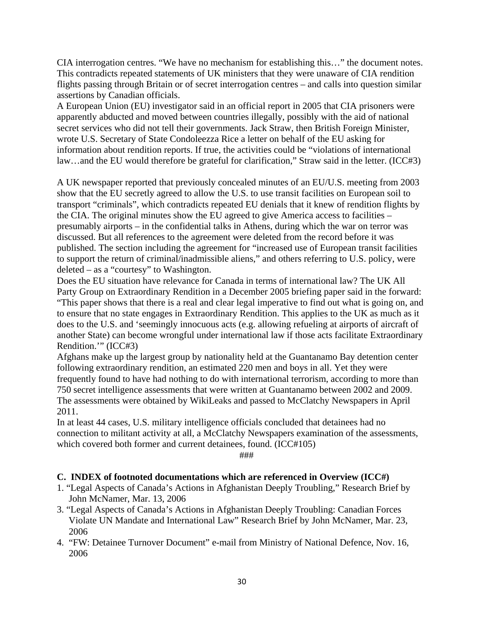CIA interrogation centres. "We have no mechanism for establishing this…" the document notes. This contradicts repeated statements of UK ministers that they were unaware of CIA rendition flights passing through Britain or of secret interrogation centres – and calls into question similar assertions by Canadian officials.

A European Union (EU) investigator said in an official report in 2005 that CIA prisoners were apparently abducted and moved between countries illegally, possibly with the aid of national secret services who did not tell their governments. Jack Straw, then British Foreign Minister, wrote U.S. Secretary of State Condoleezza Rice a letter on behalf of the EU asking for information about rendition reports. If true, the activities could be "violations of international law…and the EU would therefore be grateful for clarification," Straw said in the letter. (ICC#3)

A UK newspaper reported that previously concealed minutes of an EU/U.S. meeting from 2003 show that the EU secretly agreed to allow the U.S. to use transit facilities on European soil to transport "criminals", which contradicts repeated EU denials that it knew of rendition flights by the CIA. The original minutes show the EU agreed to give America access to facilities – presumably airports – in the confidential talks in Athens, during which the war on terror was discussed. But all references to the agreement were deleted from the record before it was published. The section including the agreement for "increased use of European transit facilities to support the return of criminal/inadmissible aliens," and others referring to U.S. policy, were deleted – as a "courtesy" to Washington.

Does the EU situation have relevance for Canada in terms of international law? The UK All Party Group on Extraordinary Rendition in a December 2005 briefing paper said in the forward: "This paper shows that there is a real and clear legal imperative to find out what is going on, and to ensure that no state engages in Extraordinary Rendition. This applies to the UK as much as it does to the U.S. and 'seemingly innocuous acts (e.g. allowing refueling at airports of aircraft of another State) can become wrongful under international law if those acts facilitate Extraordinary Rendition.'" (ICC#3)

Afghans make up the largest group by nationality held at the Guantanamo Bay detention center following extraordinary rendition, an estimated 220 men and boys in all. Yet they were frequently found to have had nothing to do with international terrorism, according to more than 750 secret intelligence assessments that were written at Guantanamo between 2002 and 2009. The assessments were obtained by WikiLeaks and passed to McClatchy Newspapers in April 2011.

In at least 44 cases, U.S. military intelligence officials concluded that detainees had no connection to militant activity at all, a McClatchy Newspapers examination of the assessments, which covered both former and current detainees, found. (ICC#105)

###

#### **C. INDEX of footnoted documentations which are referenced in Overview (ICC#)**

- 1. "Legal Aspects of Canada's Actions in Afghanistan Deeply Troubling," Research Brief by John McNamer, Mar. 13, 2006
- 3. "Legal Aspects of Canada's Actions in Afghanistan Deeply Troubling: Canadian Forces Violate UN Mandate and International Law" Research Brief by John McNamer, Mar. 23, 2006
- 4. "FW: Detainee Turnover Document" e-mail from Ministry of National Defence, Nov. 16, 2006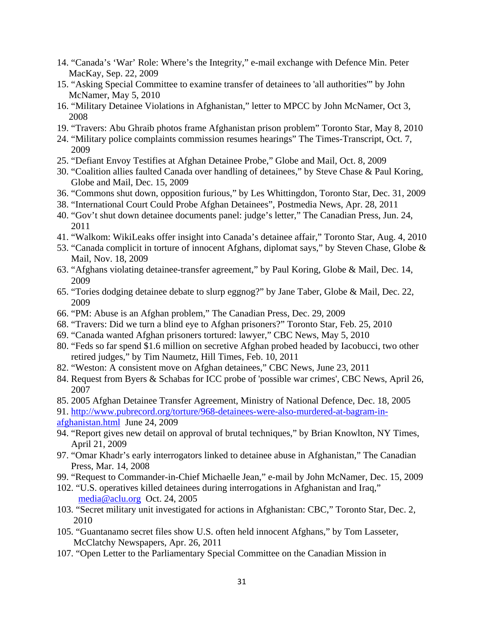- 14. "Canada's 'War' Role: Where's the Integrity," e-mail exchange with Defence Min. Peter MacKay, Sep. 22, 2009
- 15. "Asking Special Committee to examine transfer of detainees to 'all authorities'" by John McNamer, May 5, 2010
- 16. "Military Detainee Violations in Afghanistan," letter to MPCC by John McNamer, Oct 3, 2008
- 19. "Travers: Abu Ghraib photos frame Afghanistan prison problem" Toronto Star, May 8, 2010
- 24. "Military police complaints commission resumes hearings" The Times-Transcript, Oct. 7, 2009
- 25. "Defiant Envoy Testifies at Afghan Detainee Probe," Globe and Mail, Oct. 8, 2009
- 30. "Coalition allies faulted Canada over handling of detainees," by Steve Chase & Paul Koring, Globe and Mail, Dec. 15, 2009
- 36. "Commons shut down, opposition furious," by Les Whittingdon, Toronto Star, Dec. 31, 2009
- 38. "International Court Could Probe Afghan Detainees", Postmedia News, Apr. 28, 2011
- 40. "Gov't shut down detainee documents panel: judge's letter," The Canadian Press, Jun. 24, 2011
- 41. "Walkom: WikiLeaks offer insight into Canada's detainee affair," Toronto Star, Aug. 4, 2010
- 53. "Canada complicit in torture of innocent Afghans, diplomat says," by Steven Chase, Globe & Mail, Nov. 18, 2009
- 63. "Afghans violating detainee-transfer agreement," by Paul Koring, Globe & Mail, Dec. 14, 2009
- 65. "Tories dodging detainee debate to slurp eggnog?" by Jane Taber, Globe & Mail, Dec. 22, 2009
- 66. "PM: Abuse is an Afghan problem," The Canadian Press, Dec. 29, 2009
- 68. "Travers: Did we turn a blind eye to Afghan prisoners?" Toronto Star, Feb. 25, 2010
- 69. "Canada wanted Afghan prisoners tortured: lawyer," CBC News, May 5, 2010
- 80. "Feds so far spend \$1.6 million on secretive Afghan probed headed by Iacobucci, two other retired judges," by Tim Naumetz, Hill Times, Feb. 10, 2011
- 82. "Weston: A consistent move on Afghan detainees," CBC News, June 23, 2011
- 84. Request from Byers & Schabas for ICC probe of 'possible war crimes', CBC News, April 26, 2007
- 85. 2005 Afghan Detainee Transfer Agreement, Ministry of National Defence, Dec. 18, 2005
- 91. [http://www.pubrecord.org/torture/968-detainees-were-also-murdered-at-bagram-in-](http://www.pubrecord.org/torture/968-detainees-were-also-murdered-at-bagram-in-%20%20%20afghanistan.html)
- [afghanistan.html](http://www.pubrecord.org/torture/968-detainees-were-also-murdered-at-bagram-in-%20%20%20afghanistan.html) June 24, 2009
- 94. "Report gives new detail on approval of brutal techniques," by Brian Knowlton, NY Times, April 21, 2009
- 97. "Omar Khadr's early interrogators linked to detainee abuse in Afghanistan," The Canadian Press, Mar. 14, 2008
- 99. "Request to Commander-in-Chief Michaelle Jean," e-mail by John McNamer, Dec. 15, 2009
- 102. "U.S. operatives killed detainees during interrogations in Afghanistan and Iraq," [media@aclu.org](mailto:media@aclu.org) Oct. 24, 2005
- 103. "Secret military unit investigated for actions in Afghanistan: CBC," Toronto Star, Dec. 2, 2010
- 105. "Guantanamo secret files show U.S. often held innocent Afghans," by Tom Lasseter, McClatchy Newspapers, Apr. 26, 2011
- 107. "Open Letter to the Parliamentary Special Committee on the Canadian Mission in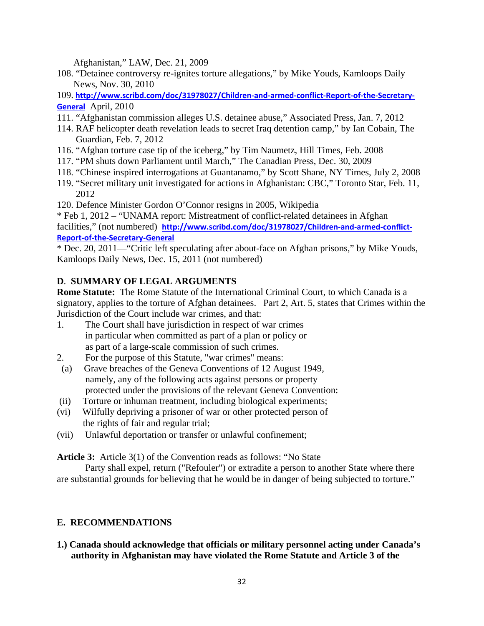Afghanistan," LAW, Dec. 21, 2009

108. "Detainee controversy re-ignites torture allegations," by Mike Youds, Kamloops Daily News, Nov. 30, 2010

109. **[http://www.scribd.com/doc/31978027/Children](http://www.scribd.com/doc/31978027/Children-and-armed-conflict-Report-of-the-Secretary-General)‐and‐armed‐conflict‐Report‐of‐the‐Secretary‐ [General](http://www.scribd.com/doc/31978027/Children-and-armed-conflict-Report-of-the-Secretary-General)** April, 2010

- 111. "Afghanistan commission alleges U.S. detainee abuse," Associated Press, Jan. 7, 2012
- 114. RAF helicopter death revelation leads to secret Iraq detention camp," by Ian Cobain, The Guardian, Feb. 7, 2012
- 116. "Afghan torture case tip of the iceberg," by Tim Naumetz, Hill Times, Feb. 2008
- 117. "PM shuts down Parliament until March," The Canadian Press, Dec. 30, 2009
- 118. "Chinese inspired interrogations at Guantanamo," by Scott Shane, NY Times, July 2, 2008
- 119. "Secret military unit investigated for actions in Afghanistan: CBC," Toronto Star, Feb. 11, 2012

120. Defence Minister Gordon O'Connor resigns in 2005, Wikipedia

\* Feb 1, 2012 – "UNAMA report: Mistreatment of conflict-related detainees in Afghan facilities," (not numbered) [http://www.scribd.com/doc/31978027/Children](http://www.scribd.com/doc/31978027/Children-and-armed-conflict-Report-of-the-Secretary-General)-and-armed-conflict-**Report‐of‐the‐[Secretary](http://www.scribd.com/doc/31978027/Children-and-armed-conflict-Report-of-the-Secretary-General)‐General**

\* Dec. 20, 2011—"Critic left speculating after about-face on Afghan prisons," by Mike Youds, Kamloops Daily News, Dec. 15, 2011 (not numbered)

# **D**. **SUMMARY OF LEGAL ARGUMENTS**

**Rome Statute:** The Rome Statute of the International Criminal Court, to which Canada is a signatory, applies to the torture of Afghan detainees. Part 2, Art. 5, states that Crimes within the Jurisdiction of the Court include war crimes, and that:

- 1. The Court shall have jurisdiction in respect of war crimes in particular when committed as part of a plan or policy or as part of a large-scale commission of such crimes.
- 2. For the purpose of this Statute, "war crimes" means:
- (a) Grave breaches of the Geneva Conventions of 12 August 1949, namely, any of the following acts against persons or property protected under the provisions of the relevant Geneva Convention:
- (ii) Torture or inhuman treatment, including biological experiments;
- (vi) Wilfully depriving a prisoner of war or other protected person of the rights of fair and regular trial;
- (vii) Unlawful deportation or transfer or unlawful confinement;

**Article 3:** Article 3(1) of the Convention reads as follows: "No State

 Party shall expel, return ("Refouler") or extradite a person to another State where there are substantial grounds for believing that he would be in danger of being subjected to torture."

# **E. RECOMMENDATIONS**

**1.) Canada should acknowledge that officials or military personnel acting under Canada's authority in Afghanistan may have violated the Rome Statute and Article 3 of the**